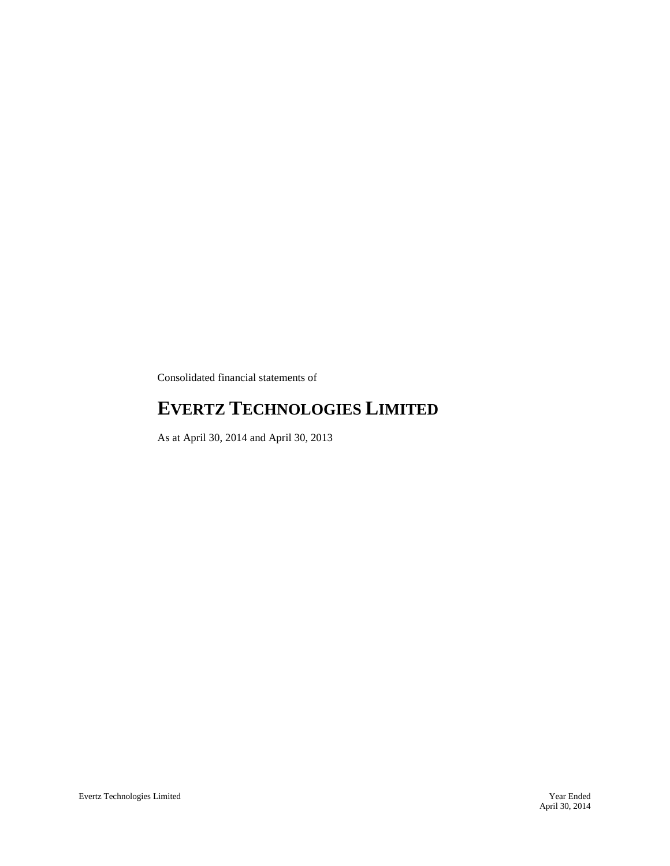Consolidated financial statements of

## **EVERTZ TECHNOLOGIES LIMITED**

As at April 30, 2014 and April 30, 2013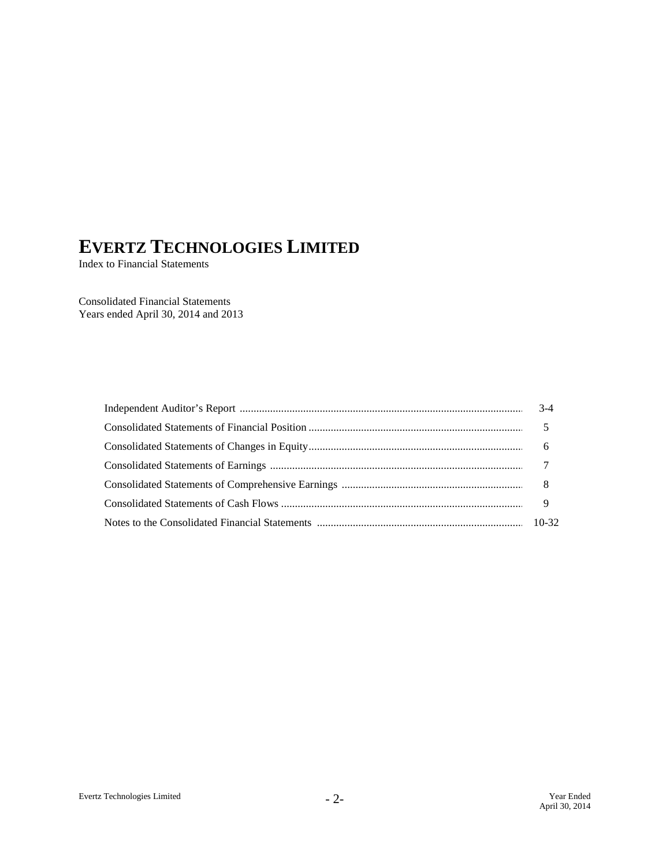Index to Financial Statements

Consolidated Financial Statements Years ended April 30, 2014 and 2013

| $3-4$ |
|-------|
|       |
|       |
|       |
|       |
|       |
|       |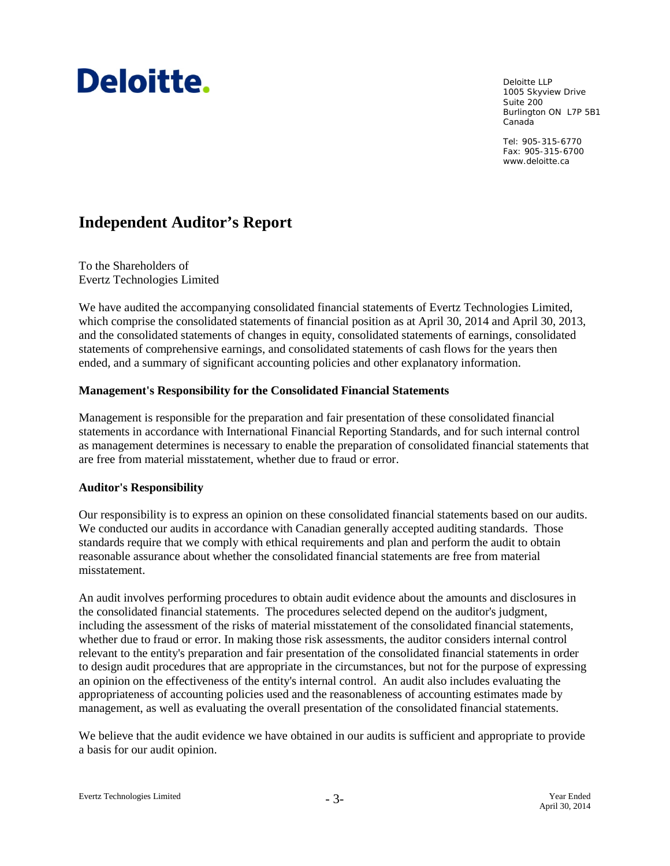# **Deloitte.**

Deloitte LLP 1005 Skyview Drive Suite 200 Burlington ON L7P 5B1 Canada

Tel: 905-315-6770 Fax: 905-315-6700 www.deloitte.ca

## **Independent Auditor's Report**

To the Shareholders of Evertz Technologies Limited

We have audited the accompanying consolidated financial statements of Evertz Technologies Limited, which comprise the consolidated statements of financial position as at April 30, 2014 and April 30, 2013, and the consolidated statements of changes in equity, consolidated statements of earnings, consolidated statements of comprehensive earnings, and consolidated statements of cash flows for the years then ended, and a summary of significant accounting policies and other explanatory information.

#### **Management's Responsibility for the Consolidated Financial Statements**

Management is responsible for the preparation and fair presentation of these consolidated financial statements in accordance with International Financial Reporting Standards, and for such internal control as management determines is necessary to enable the preparation of consolidated financial statements that are free from material misstatement, whether due to fraud or error.

#### **Auditor's Responsibility**

Our responsibility is to express an opinion on these consolidated financial statements based on our audits. We conducted our audits in accordance with Canadian generally accepted auditing standards. Those standards require that we comply with ethical requirements and plan and perform the audit to obtain reasonable assurance about whether the consolidated financial statements are free from material misstatement.

An audit involves performing procedures to obtain audit evidence about the amounts and disclosures in the consolidated financial statements. The procedures selected depend on the auditor's judgment, including the assessment of the risks of material misstatement of the consolidated financial statements, whether due to fraud or error. In making those risk assessments, the auditor considers internal control relevant to the entity's preparation and fair presentation of the consolidated financial statements in order to design audit procedures that are appropriate in the circumstances, but not for the purpose of expressing an opinion on the effectiveness of the entity's internal control. An audit also includes evaluating the appropriateness of accounting policies used and the reasonableness of accounting estimates made by management, as well as evaluating the overall presentation of the consolidated financial statements.

We believe that the audit evidence we have obtained in our audits is sufficient and appropriate to provide a basis for our audit opinion.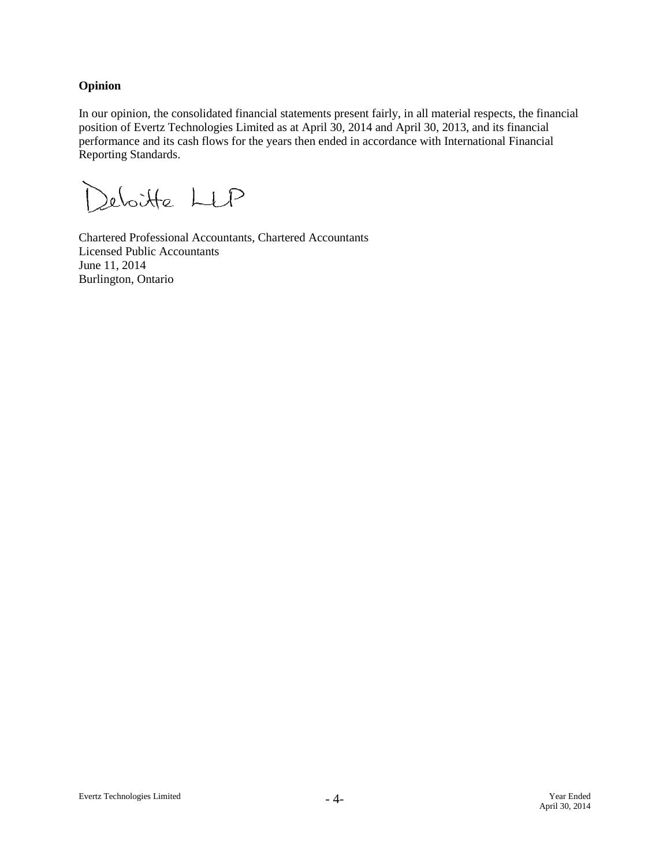**Opinion**

In our opinion, the consolidated financial statements present fairly, in all material respects, the financial position of Evertz Technologies Limited as at April 30, 2014 and April 30, 2013, and its financial performance and its cash flows for the years then ended in accordance with International Financial Reporting Standards.

Deboitte LLP

Chartered Professional Accountants, Chartered Accountants Licensed Public Accountants June 11, 2014 Burlington, Ontario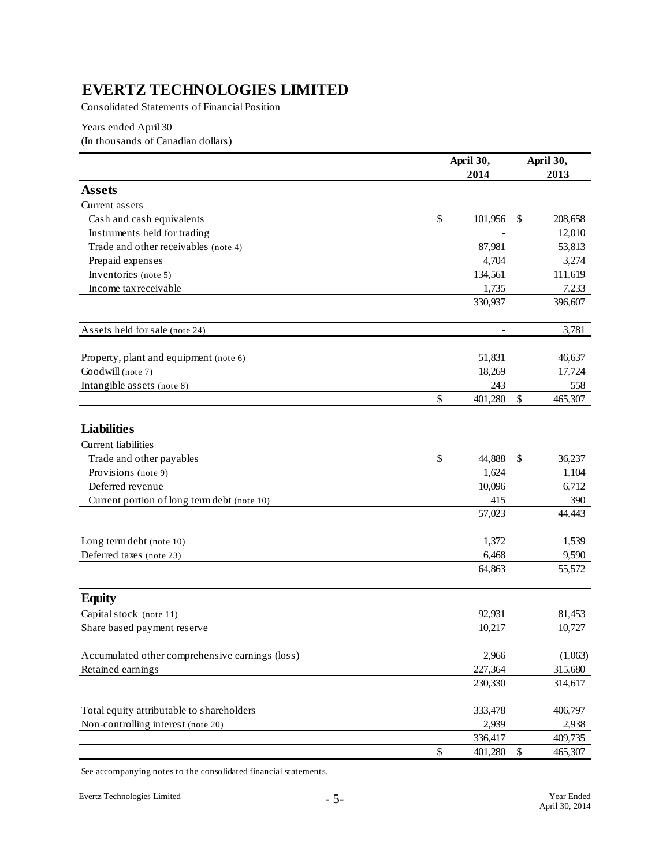Consolidated Statements of Financial Position

Years ended April 30 (In thousands of Canadian dollars)

|                                                 |      | April 30, |      | April 30, |
|-------------------------------------------------|------|-----------|------|-----------|
|                                                 |      | 2014      |      | 2013      |
| <b>Assets</b>                                   |      |           |      |           |
| Current assets                                  |      |           |      |           |
| Cash and cash equivalents                       | \$   | 101,956   | \$   | 208,658   |
| Instruments held for trading                    |      |           |      | 12,010    |
| Trade and other receivables (note 4)            |      | 87,981    |      | 53,813    |
| Prepaid expenses                                |      | 4,704     |      | 3,274     |
| Inventories (note 5)                            |      | 134,561   |      | 111,619   |
| Income tax receivable                           |      | 1,735     |      | 7,233     |
|                                                 |      | 330,937   |      | 396,607   |
| Assets held for sale (note 24)                  |      |           |      | 3,781     |
| Property, plant and equipment (note 6)          |      | 51,831    |      | 46,637    |
| Goodwill (note 7)                               |      | 18,269    |      | 17,724    |
| Intangible assets (note 8)                      |      | 243       |      | 558       |
|                                                 | \$   | 401,280   | \$   | 465,307   |
| <b>Liabilities</b>                              |      |           |      |           |
| Current liabilities                             |      |           |      |           |
| Trade and other payables                        | \$   | 44,888    | \$   | 36,237    |
| Provisions (note 9)                             |      | 1,624     |      | 1,104     |
| Deferred revenue                                |      | 10,096    |      | 6,712     |
| Current portion of long term debt (note 10)     |      | 415       |      | 390       |
|                                                 |      | 57,023    |      | 44,443    |
| Long term debt (note 10)                        |      | 1,372     |      | 1,539     |
| Deferred taxes (note 23)                        |      | 6,468     |      | 9,590     |
|                                                 |      | 64,863    |      | 55,572    |
| <b>Equity</b>                                   |      |           |      |           |
| Capital stock (note 11)                         |      | 92,931    |      | 81,453    |
| Share based payment reserve                     |      | 10,217    |      | 10,727    |
| Accumulated other comprehensive earnings (loss) |      | 2,966     |      | (1,063)   |
| Retained earnings                               |      | 227,364   |      | 315,680   |
|                                                 |      | 230,330   |      | 314,617   |
| Total equity attributable to shareholders       |      | 333,478   |      | 406,797   |
| Non-controlling interest (note 20)              |      | 2,939     |      | 2,938     |
|                                                 |      | 336,417   |      | 409,735   |
|                                                 | $\$$ | 401,280   | $\$$ | 465,307   |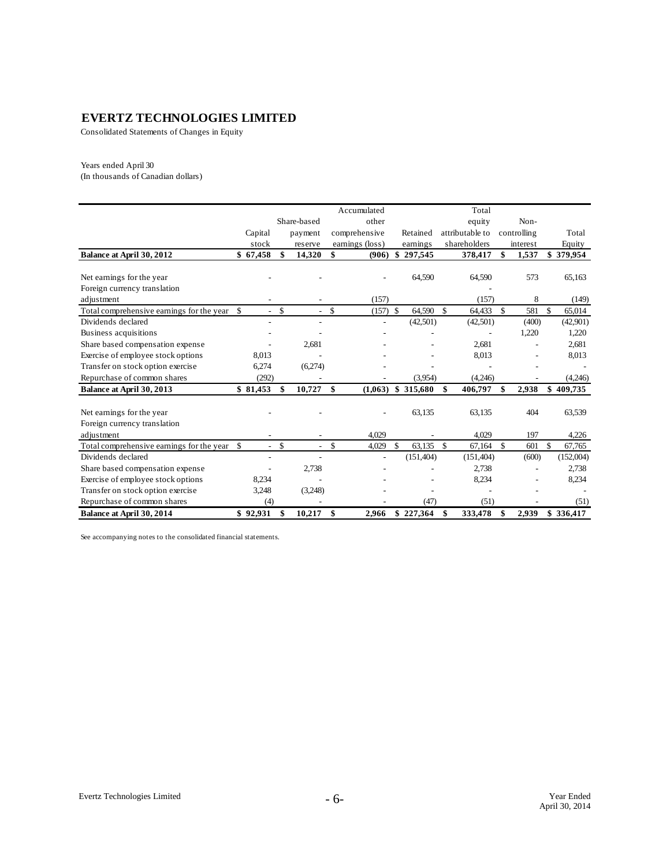Consolidated Statements of Changes in Equity

Years ended April 30

(In thousands of Canadian dollars)

|                                           |     |                          | Accumulated          |                             |    |                          |          | Total      |              |                 |               |                          |               |           |
|-------------------------------------------|-----|--------------------------|----------------------|-----------------------------|----|--------------------------|----------|------------|--------------|-----------------|---------------|--------------------------|---------------|-----------|
|                                           |     |                          | Share-based<br>other |                             |    |                          | equity   |            |              | Non-            |               |                          |               |           |
|                                           |     | Capital                  |                      | payment                     |    | comprehensive            | Retained |            |              | attributable to | controlling   |                          |               | Total     |
|                                           |     | stock                    |                      | reserve                     |    | earnings (loss)          |          | earnings   |              | shareholders    |               | interest                 |               | Equity    |
| Balance at April 30, 2012                 | \$  | 67,458                   | \$                   | 14,320                      | \$ | (906)                    | \$       | 297,545    |              | 378,417         | \$            | 1,537                    | \$            | 379,954   |
|                                           |     |                          |                      |                             |    |                          |          |            |              |                 |               |                          |               |           |
| Net earnings for the year                 |     |                          |                      |                             |    |                          |          | 64,590     |              | 64,590          |               | 573                      |               | 65,163    |
| Foreign currency translation              |     |                          |                      |                             |    |                          |          |            |              |                 |               |                          |               |           |
| adjustment                                |     |                          |                      |                             |    | (157)                    |          |            |              | (157)           |               | 8                        |               | (149)     |
| Total comprehensive earnings for the year | \$. | $\overline{a}$           | $\mathbb{S}$         | $\mathcal{L}^{\mathcal{A}}$ | \$ | $(157)$ \$               |          | 64,590     | $\mathbb{S}$ | 64,433          | $\mathcal{S}$ | 581                      | $\mathbb{S}$  | 65,014    |
| Dividends declared                        |     |                          |                      | ٠                           |    | $\overline{a}$           |          | (42,501)   |              | (42,501)        |               | (400)                    |               | (42,901)  |
| Business acquisitions                     |     |                          |                      |                             |    |                          |          |            |              |                 |               | 1,220                    |               | 1,220     |
| Share based compensation expense          |     |                          |                      | 2,681                       |    |                          |          |            |              | 2,681           |               |                          |               | 2,681     |
| Exercise of employee stock options        |     | 8,013                    |                      |                             |    |                          |          |            |              | 8,013           |               | $\overline{\phantom{a}}$ |               | 8.013     |
| Transfer on stock option exercise         |     | 6,274                    |                      | (6,274)                     |    |                          |          |            |              |                 |               |                          |               |           |
| Repurchase of common shares               |     | (292)                    |                      |                             |    |                          |          | (3,954)    |              | (4,246)         |               |                          |               | (4,246)   |
| Balance at April 30, 2013                 |     | \$81,453                 | \$                   | 10,727                      | \$ | (1.063)                  |          | \$315,680  | \$           | 406,797         | \$            | 2,938                    | \$            | 409,735   |
|                                           |     |                          |                      |                             |    |                          |          |            |              |                 |               |                          |               |           |
| Net earnings for the year                 |     |                          |                      |                             |    |                          |          | 63,135     |              | 63,135          |               | 404                      |               | 63,539    |
| Foreign currency translation              |     |                          |                      |                             |    |                          |          |            |              |                 |               |                          |               |           |
| adjustment                                |     |                          |                      |                             |    | 4,029                    |          |            |              | 4,029           |               | 197                      |               | 4,226     |
| Total comprehensive earnings for the year | \$  | $\overline{\phantom{a}}$ | \$                   | $\overline{\phantom{0}}$    | \$ | 4,029                    | \$       | 63,135     | \$.          | 67,164          | -\$           | 601                      | $\mathcal{S}$ | 67,765    |
| Dividends declared                        |     |                          |                      | $\overline{a}$              |    | $\overline{\phantom{a}}$ |          | (151, 404) |              | (151, 404)      |               | (600)                    |               | (152,004) |
| Share based compensation expense          |     |                          |                      | 2,738                       |    |                          |          |            |              | 2,738           |               |                          |               | 2,738     |
| Exercise of employee stock options        |     | 8.234                    |                      |                             |    |                          |          |            |              | 8,234           |               |                          |               | 8,234     |
| Transfer on stock option exercise         |     | 3,248                    |                      | (3,248)                     |    |                          |          |            |              |                 |               |                          |               |           |
| Repurchase of common shares               |     | (4)                      |                      |                             |    |                          |          | (47)       |              | (51)            |               |                          |               | (51)      |
| Balance at April 30, 2014                 |     | \$92,931                 | \$                   | 10,217                      | \$ | 2,966                    | \$       | 227,364    | \$           | 333,478         | \$            | 2,939                    |               | \$336,417 |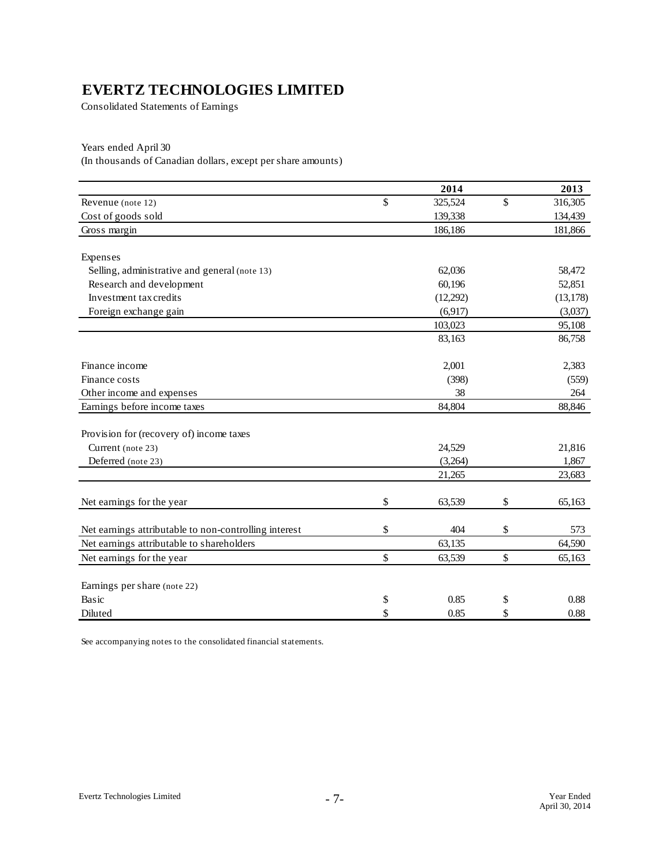Consolidated Statements of Earnings

Years ended April 30

(In thousands of Canadian dollars, except per share amounts)

|                                                       | 2014          | 2013          |
|-------------------------------------------------------|---------------|---------------|
| Revenue (note 12)                                     | \$<br>325,524 | \$<br>316,305 |
| Cost of goods sold                                    | 139,338       | 134,439       |
| Gross margin                                          | 186,186       | 181,866       |
| Expenses                                              |               |               |
| Selling, administrative and general (note 13)         | 62,036        | 58,472        |
| Research and development                              | 60,196        | 52,851        |
| Investment tax credits                                | (12,292)      | (13, 178)     |
| Foreign exchange gain                                 | (6,917)       | (3,037)       |
|                                                       | 103,023       | 95,108        |
|                                                       | 83,163        | 86,758        |
| Finance income                                        | 2,001         | 2,383         |
| Finance costs                                         | (398)         | (559)         |
| Other income and expenses                             | 38            | 264           |
| Earnings before income taxes                          | 84,804        | 88,846        |
| Provision for (recovery of) income taxes              |               |               |
| Current (note 23)                                     | 24,529        | 21,816        |
| Deferred (note 23)                                    | (3,264)       | 1,867         |
|                                                       | 21,265        | 23,683        |
| Net earnings for the year                             | \$<br>63,539  | \$<br>65,163  |
| Net earnings attributable to non-controlling interest | \$<br>404     | \$<br>573     |
| Net earnings attributable to shareholders             | 63,135        | 64,590        |
| Net earnings for the year                             | \$<br>63,539  | \$<br>65,163  |
| Earnings per share (note 22)                          |               |               |
| Basic                                                 | \$<br>0.85    | \$<br>0.88    |
| Diluted                                               | \$<br>0.85    | \$<br>0.88    |
|                                                       |               |               |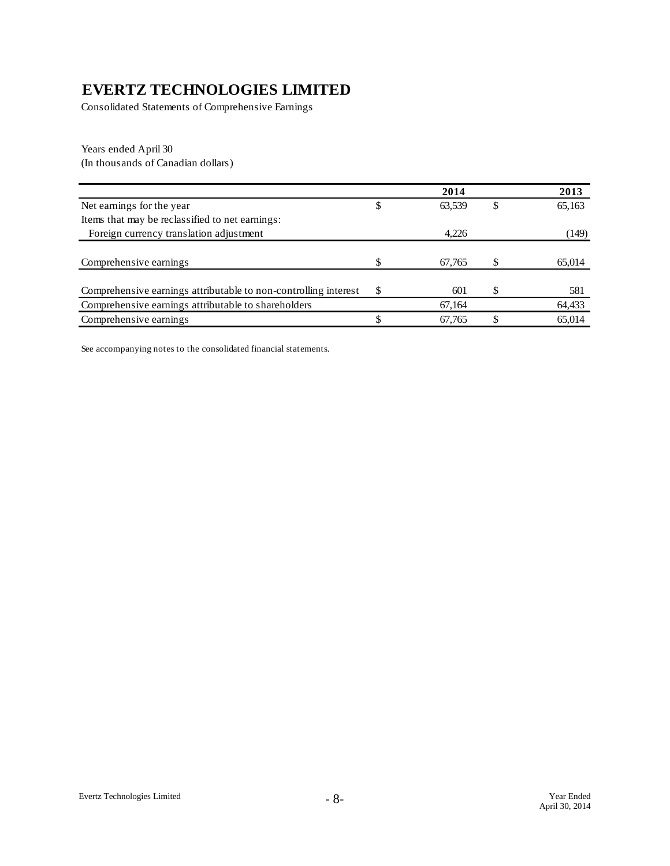Consolidated Statements of Comprehensive Earnings

Years ended April 30 (In thousands of Canadian dollars)

|                                                                 | 2014         | 2013   |
|-----------------------------------------------------------------|--------------|--------|
| Net earnings for the year.                                      | \$<br>63,539 | 65,163 |
| Items that may be reclassified to net earnings:                 |              |        |
| Foreign currency translation adjustment                         | 4,226        | (149)  |
|                                                                 |              |        |
| Comprehensive earnings                                          | 67,765       | 65,014 |
|                                                                 |              |        |
| Comprehensive earnings attributable to non-controlling interest | 601          | 581    |
| Comprehensive earnings attributable to shareholders             | 67,164       | 64,433 |
| Comprehensive earnings                                          | 67,765       | 65,014 |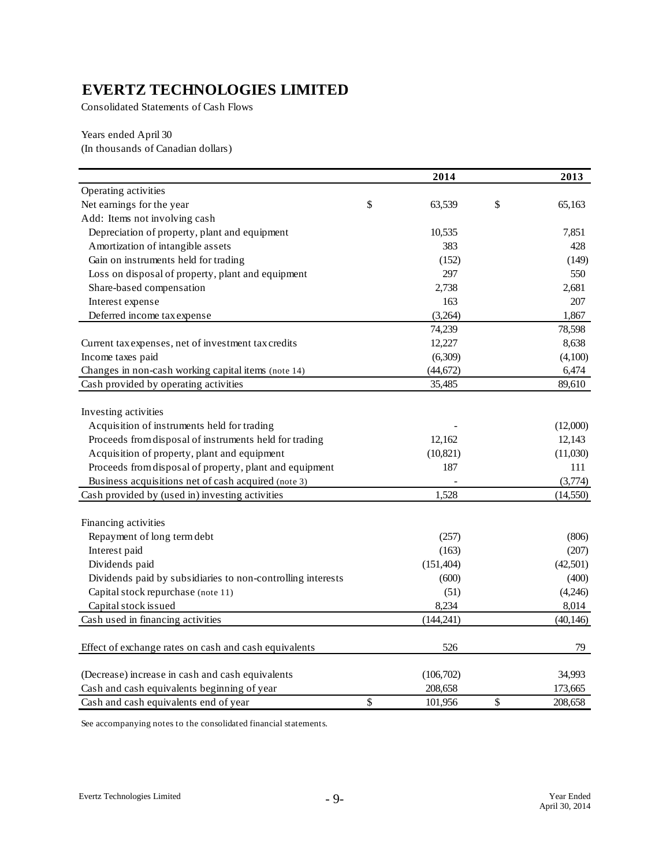Consolidated Statements of Cash Flows

Years ended April 30 (In thousands of Canadian dollars)

|                                                             | 2014          | 2013          |
|-------------------------------------------------------------|---------------|---------------|
| Operating activities                                        |               |               |
| Net earnings for the year                                   | \$<br>63,539  | \$<br>65,163  |
| Add: Items not involving cash                               |               |               |
| Depreciation of property, plant and equipment               | 10,535        | 7,851         |
| Amortization of intangible assets                           | 383           | 428           |
| Gain on instruments held for trading                        | (152)         | (149)         |
| Loss on disposal of property, plant and equipment           | 297           | 550           |
| Share-based compensation                                    | 2,738         | 2,681         |
| Interest expense                                            | 163           | 207           |
| Deferred income tax expense                                 | (3,264)       | 1,867         |
|                                                             | 74,239        | 78,598        |
| Current tax expenses, net of investment tax credits         | 12,227        | 8,638         |
| Income taxes paid                                           | (6,309)       | (4,100)       |
| Changes in non-cash working capital items (note 14)         | (44, 672)     | 6,474         |
| Cash provided by operating activities                       | 35,485        | 89,610        |
| Investing activities                                        |               |               |
| Acquisition of instruments held for trading                 |               | (12,000)      |
| Proceeds from disposal of instruments held for trading      | 12,162        | 12,143        |
| Acquisition of property, plant and equipment                | (10, 821)     | (11,030)      |
| Proceeds from disposal of property, plant and equipment     | 187           | 111           |
| Business acquisitions net of cash acquired (note 3)         |               | (3,774)       |
| Cash provided by (used in) investing activities             | 1,528         | (14, 550)     |
|                                                             |               |               |
| Financing activities                                        |               |               |
| Repayment of long term debt                                 | (257)         | (806)         |
| Interest paid                                               | (163)         | (207)         |
| Dividends paid                                              | (151, 404)    | (42,501)      |
| Dividends paid by subsidiaries to non-controlling interests | (600)         | (400)         |
| Capital stock repurchase (note 11)                          | (51)          | (4,246)       |
| Capital stock issued                                        | 8,234         | 8,014         |
| Cash used in financing activities                           | (144, 241)    | (40, 146)     |
| Effect of exchange rates on cash and cash equivalents       | 526           | 79            |
| (Decrease) increase in cash and cash equivalents            | (106,702)     | 34,993        |
| Cash and cash equivalents beginning of year                 | 208,658       | 173,665       |
| Cash and cash equivalents end of year                       | \$<br>101,956 | \$<br>208,658 |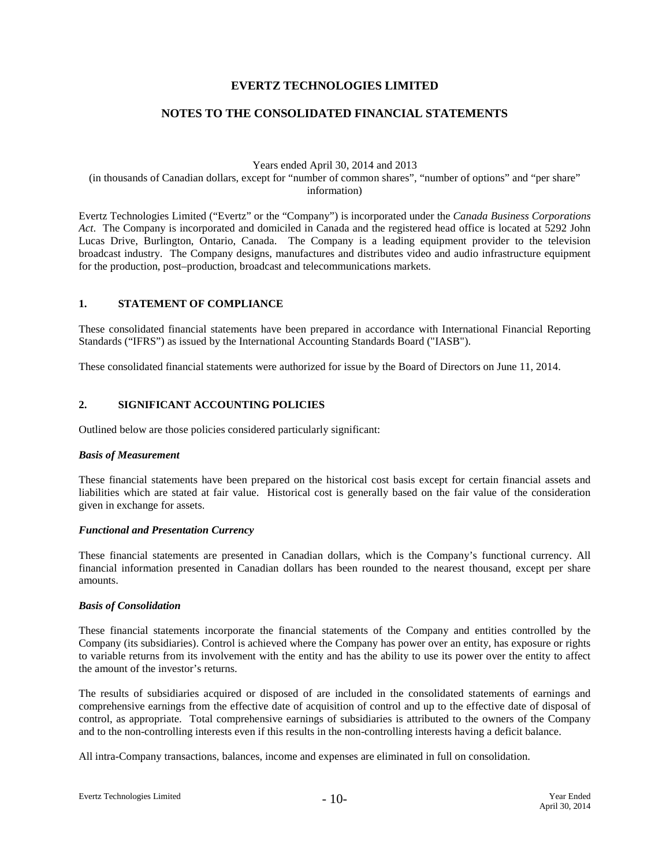#### **NOTES TO THE CONSOLIDATED FINANCIAL STATEMENTS**

#### Years ended April 30, 2014 and 2013

(in thousands of Canadian dollars, except for "number of common shares", "number of options" and "per share" information)

Evertz Technologies Limited ("Evertz" or the "Company") is incorporated under the *Canada Business Corporations Act*. The Company is incorporated and domiciled in Canada and the registered head office is located at 5292 John Lucas Drive, Burlington, Ontario, Canada. The Company is a leading equipment provider to the television broadcast industry. The Company designs, manufactures and distributes video and audio infrastructure equipment for the production, post–production, broadcast and telecommunications markets.

#### **1. STATEMENT OF COMPLIANCE**

These consolidated financial statements have been prepared in accordance with International Financial Reporting Standards ("IFRS") as issued by the International Accounting Standards Board ("IASB").

These consolidated financial statements were authorized for issue by the Board of Directors on June 11, 2014.

#### **2. SIGNIFICANT ACCOUNTING POLICIES**

Outlined below are those policies considered particularly significant:

#### *Basis of Measurement*

These financial statements have been prepared on the historical cost basis except for certain financial assets and liabilities which are stated at fair value. Historical cost is generally based on the fair value of the consideration given in exchange for assets.

#### *Functional and Presentation Currency*

These financial statements are presented in Canadian dollars, which is the Company's functional currency. All financial information presented in Canadian dollars has been rounded to the nearest thousand, except per share amounts.

#### *Basis of Consolidation*

These financial statements incorporate the financial statements of the Company and entities controlled by the Company (its subsidiaries). Control is achieved where the Company has power over an entity, has exposure or rights to variable returns from its involvement with the entity and has the ability to use its power over the entity to affect the amount of the investor's returns.

The results of subsidiaries acquired or disposed of are included in the consolidated statements of earnings and comprehensive earnings from the effective date of acquisition of control and up to the effective date of disposal of control, as appropriate. Total comprehensive earnings of subsidiaries is attributed to the owners of the Company and to the non-controlling interests even if this results in the non-controlling interests having a deficit balance.

All intra-Company transactions, balances, income and expenses are eliminated in full on consolidation.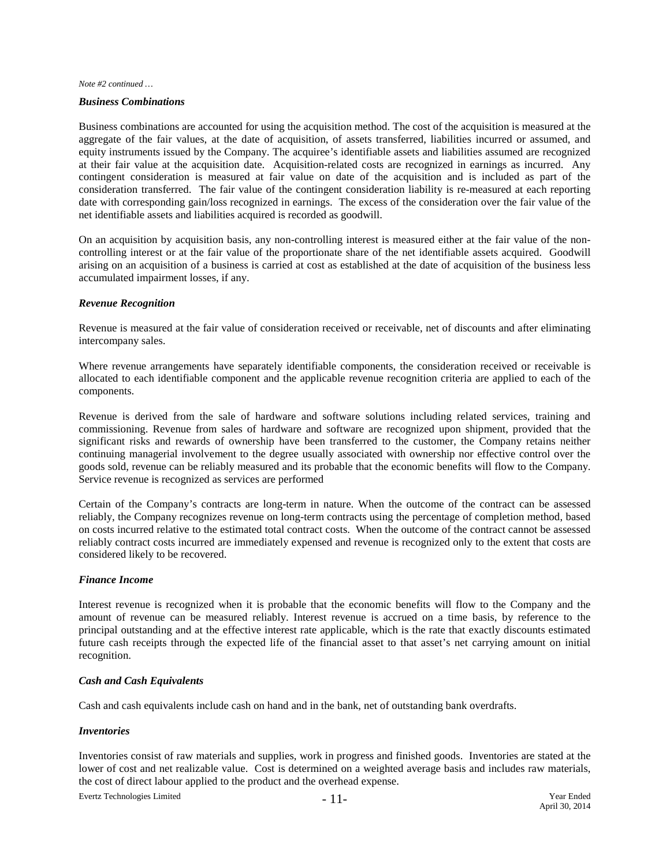#### *Business Combinations*

Business combinations are accounted for using the acquisition method. The cost of the acquisition is measured at the aggregate of the fair values, at the date of acquisition, of assets transferred, liabilities incurred or assumed, and equity instruments issued by the Company. The acquiree's identifiable assets and liabilities assumed are recognized at their fair value at the acquisition date. Acquisition-related costs are recognized in earnings as incurred. Any contingent consideration is measured at fair value on date of the acquisition and is included as part of the consideration transferred. The fair value of the contingent consideration liability is re-measured at each reporting date with corresponding gain/loss recognized in earnings. The excess of the consideration over the fair value of the net identifiable assets and liabilities acquired is recorded as goodwill.

On an acquisition by acquisition basis, any non-controlling interest is measured either at the fair value of the noncontrolling interest or at the fair value of the proportionate share of the net identifiable assets acquired. Goodwill arising on an acquisition of a business is carried at cost as established at the date of acquisition of the business less accumulated impairment losses, if any.

#### *Revenue Recognition*

Revenue is measured at the fair value of consideration received or receivable, net of discounts and after eliminating intercompany sales.

Where revenue arrangements have separately identifiable components, the consideration received or receivable is allocated to each identifiable component and the applicable revenue recognition criteria are applied to each of the components.

Revenue is derived from the sale of hardware and software solutions including related services, training and commissioning. Revenue from sales of hardware and software are recognized upon shipment, provided that the significant risks and rewards of ownership have been transferred to the customer, the Company retains neither continuing managerial involvement to the degree usually associated with ownership nor effective control over the goods sold, revenue can be reliably measured and its probable that the economic benefits will flow to the Company. Service revenue is recognized as services are performed

Certain of the Company's contracts are long-term in nature. When the outcome of the contract can be assessed reliably, the Company recognizes revenue on long-term contracts using the percentage of completion method, based on costs incurred relative to the estimated total contract costs. When the outcome of the contract cannot be assessed reliably contract costs incurred are immediately expensed and revenue is recognized only to the extent that costs are considered likely to be recovered.

#### *Finance Income*

Interest revenue is recognized when it is probable that the economic benefits will flow to the Company and the amount of revenue can be measured reliably. Interest revenue is accrued on a time basis, by reference to the principal outstanding and at the effective interest rate applicable, which is the rate that exactly discounts estimated future cash receipts through the expected life of the financial asset to that asset's net carrying amount on initial recognition.

#### *Cash and Cash Equivalents*

Cash and cash equivalents include cash on hand and in the bank, net of outstanding bank overdrafts.

#### *Inventories*

Inventories consist of raw materials and supplies, work in progress and finished goods. Inventories are stated at the lower of cost and net realizable value. Cost is determined on a weighted average basis and includes raw materials, the cost of direct labour applied to the product and the overhead expense.

Evertz Technologies Limited  $\begin{array}{c} -11 - \end{array}$  - 11-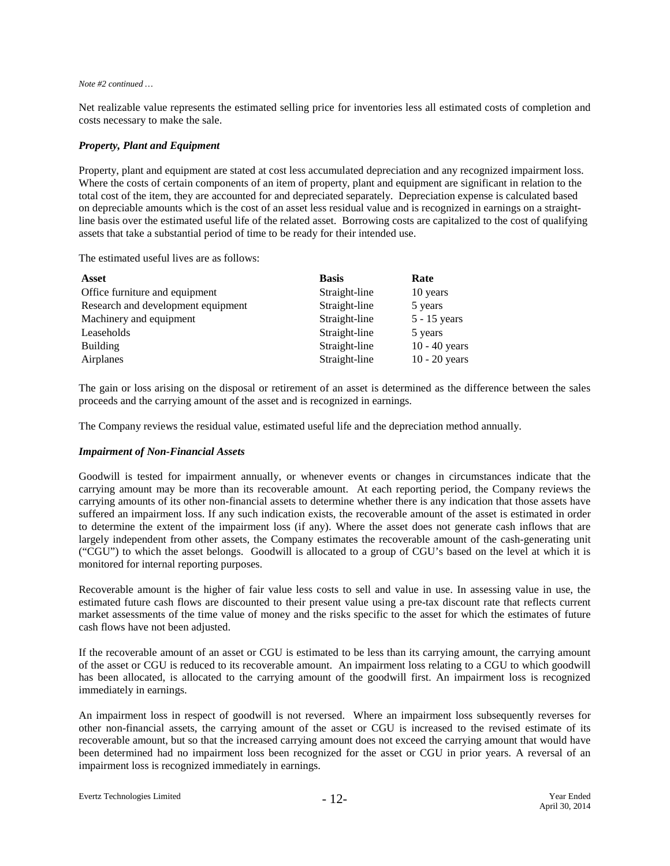Net realizable value represents the estimated selling price for inventories less all estimated costs of completion and costs necessary to make the sale.

#### *Property, Plant and Equipment*

Property, plant and equipment are stated at cost less accumulated depreciation and any recognized impairment loss. Where the costs of certain components of an item of property, plant and equipment are significant in relation to the total cost of the item, they are accounted for and depreciated separately. Depreciation expense is calculated based on depreciable amounts which is the cost of an asset less residual value and is recognized in earnings on a straightline basis over the estimated useful life of the related asset. Borrowing costs are capitalized to the cost of qualifying assets that take a substantial period of time to be ready for their intended use.

The estimated useful lives are as follows:

| Asset                              | <b>Basis</b>  | Rate            |
|------------------------------------|---------------|-----------------|
| Office furniture and equipment     | Straight-line | 10 years        |
| Research and development equipment | Straight-line | 5 years         |
| Machinery and equipment            | Straight-line | $5 - 15$ years  |
| Leaseholds                         | Straight-line | 5 years         |
| <b>Building</b>                    | Straight-line | $10 - 40$ years |
| Airplanes                          | Straight-line | $10 - 20$ years |

The gain or loss arising on the disposal or retirement of an asset is determined as the difference between the sales proceeds and the carrying amount of the asset and is recognized in earnings.

The Company reviews the residual value, estimated useful life and the depreciation method annually.

#### *Impairment of Non-Financial Assets*

Goodwill is tested for impairment annually, or whenever events or changes in circumstances indicate that the carrying amount may be more than its recoverable amount. At each reporting period, the Company reviews the carrying amounts of its other non-financial assets to determine whether there is any indication that those assets have suffered an impairment loss. If any such indication exists, the recoverable amount of the asset is estimated in order to determine the extent of the impairment loss (if any). Where the asset does not generate cash inflows that are largely independent from other assets, the Company estimates the recoverable amount of the cash-generating unit ("CGU") to which the asset belongs. Goodwill is allocated to a group of CGU's based on the level at which it is monitored for internal reporting purposes.

Recoverable amount is the higher of fair value less costs to sell and value in use. In assessing value in use, the estimated future cash flows are discounted to their present value using a pre-tax discount rate that reflects current market assessments of the time value of money and the risks specific to the asset for which the estimates of future cash flows have not been adjusted.

If the recoverable amount of an asset or CGU is estimated to be less than its carrying amount, the carrying amount of the asset or CGU is reduced to its recoverable amount. An impairment loss relating to a CGU to which goodwill has been allocated, is allocated to the carrying amount of the goodwill first. An impairment loss is recognized immediately in earnings.

An impairment loss in respect of goodwill is not reversed. Where an impairment loss subsequently reverses for other non-financial assets, the carrying amount of the asset or CGU is increased to the revised estimate of its recoverable amount, but so that the increased carrying amount does not exceed the carrying amount that would have been determined had no impairment loss been recognized for the asset or CGU in prior years. A reversal of an impairment loss is recognized immediately in earnings.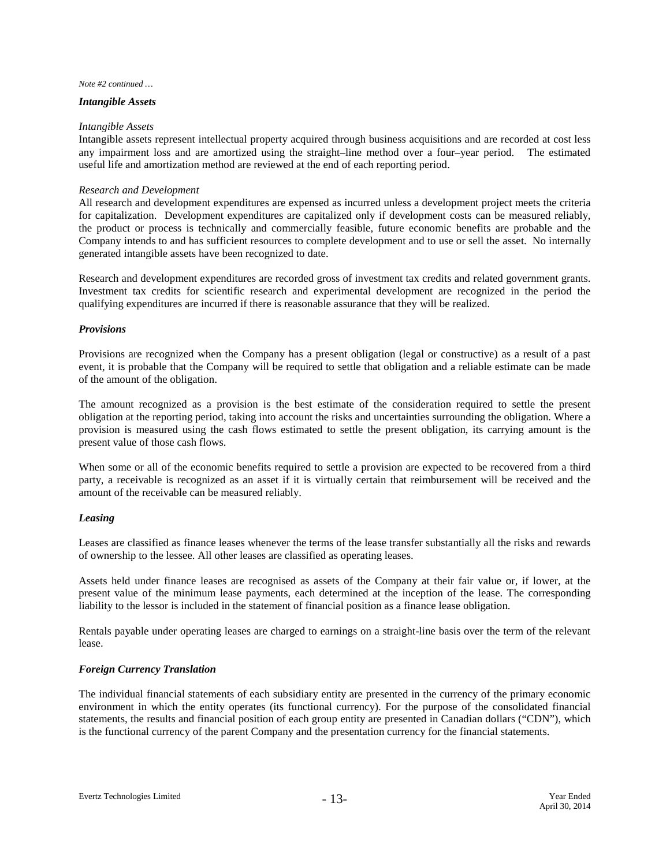#### *Intangible Assets*

#### *Intangible Assets*

Intangible assets represent intellectual property acquired through business acquisitions and are recorded at cost less any impairment loss and are amortized using the straight–line method over a four–year period. The estimated useful life and amortization method are reviewed at the end of each reporting period.

#### *Research and Development*

All research and development expenditures are expensed as incurred unless a development project meets the criteria for capitalization. Development expenditures are capitalized only if development costs can be measured reliably, the product or process is technically and commercially feasible, future economic benefits are probable and the Company intends to and has sufficient resources to complete development and to use or sell the asset. No internally generated intangible assets have been recognized to date.

Research and development expenditures are recorded gross of investment tax credits and related government grants. Investment tax credits for scientific research and experimental development are recognized in the period the qualifying expenditures are incurred if there is reasonable assurance that they will be realized.

#### *Provisions*

Provisions are recognized when the Company has a present obligation (legal or constructive) as a result of a past event, it is probable that the Company will be required to settle that obligation and a reliable estimate can be made of the amount of the obligation.

The amount recognized as a provision is the best estimate of the consideration required to settle the present obligation at the reporting period, taking into account the risks and uncertainties surrounding the obligation. Where a provision is measured using the cash flows estimated to settle the present obligation, its carrying amount is the present value of those cash flows.

When some or all of the economic benefits required to settle a provision are expected to be recovered from a third party, a receivable is recognized as an asset if it is virtually certain that reimbursement will be received and the amount of the receivable can be measured reliably.

#### *Leasing*

Leases are classified as finance leases whenever the terms of the lease transfer substantially all the risks and rewards of ownership to the lessee. All other leases are classified as operating leases.

Assets held under finance leases are recognised as assets of the Company at their fair value or, if lower, at the present value of the minimum lease payments, each determined at the inception of the lease. The corresponding liability to the lessor is included in the statement of financial position as a finance lease obligation.

Rentals payable under operating leases are charged to earnings on a straight-line basis over the term of the relevant lease.

#### *Foreign Currency Translation*

The individual financial statements of each subsidiary entity are presented in the currency of the primary economic environment in which the entity operates (its functional currency). For the purpose of the consolidated financial statements, the results and financial position of each group entity are presented in Canadian dollars ("CDN"), which is the functional currency of the parent Company and the presentation currency for the financial statements.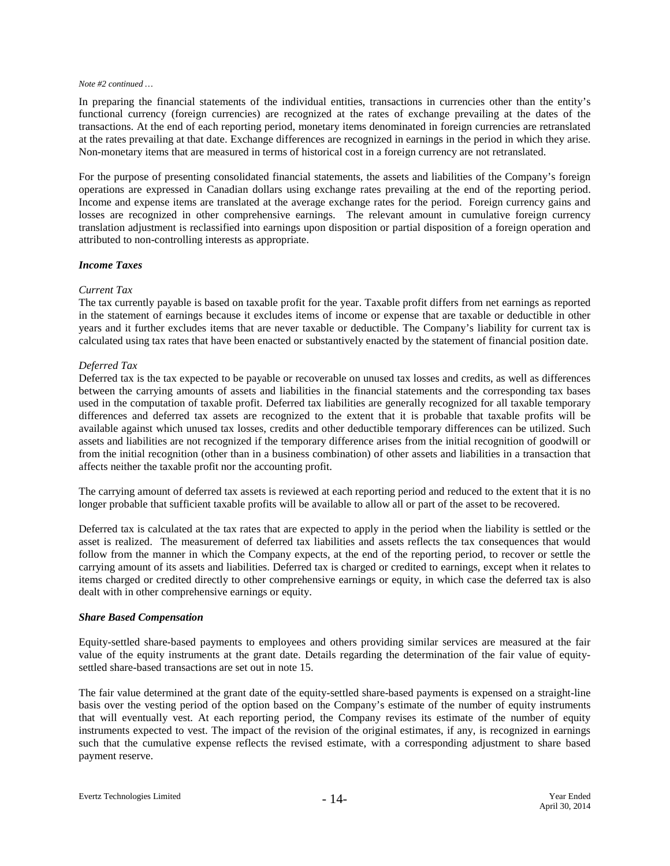In preparing the financial statements of the individual entities, transactions in currencies other than the entity's functional currency (foreign currencies) are recognized at the rates of exchange prevailing at the dates of the transactions. At the end of each reporting period, monetary items denominated in foreign currencies are retranslated at the rates prevailing at that date. Exchange differences are recognized in earnings in the period in which they arise. Non-monetary items that are measured in terms of historical cost in a foreign currency are not retranslated.

For the purpose of presenting consolidated financial statements, the assets and liabilities of the Company's foreign operations are expressed in Canadian dollars using exchange rates prevailing at the end of the reporting period. Income and expense items are translated at the average exchange rates for the period. Foreign currency gains and losses are recognized in other comprehensive earnings. The relevant amount in cumulative foreign currency translation adjustment is reclassified into earnings upon disposition or partial disposition of a foreign operation and attributed to non-controlling interests as appropriate.

#### *Income Taxes*

#### *Current Tax*

The tax currently payable is based on taxable profit for the year. Taxable profit differs from net earnings as reported in the statement of earnings because it excludes items of income or expense that are taxable or deductible in other years and it further excludes items that are never taxable or deductible. The Company's liability for current tax is calculated using tax rates that have been enacted or substantively enacted by the statement of financial position date.

#### *Deferred Tax*

Deferred tax is the tax expected to be payable or recoverable on unused tax losses and credits, as well as differences between the carrying amounts of assets and liabilities in the financial statements and the corresponding tax bases used in the computation of taxable profit. Deferred tax liabilities are generally recognized for all taxable temporary differences and deferred tax assets are recognized to the extent that it is probable that taxable profits will be available against which unused tax losses, credits and other deductible temporary differences can be utilized. Such assets and liabilities are not recognized if the temporary difference arises from the initial recognition of goodwill or from the initial recognition (other than in a business combination) of other assets and liabilities in a transaction that affects neither the taxable profit nor the accounting profit.

The carrying amount of deferred tax assets is reviewed at each reporting period and reduced to the extent that it is no longer probable that sufficient taxable profits will be available to allow all or part of the asset to be recovered.

Deferred tax is calculated at the tax rates that are expected to apply in the period when the liability is settled or the asset is realized. The measurement of deferred tax liabilities and assets reflects the tax consequences that would follow from the manner in which the Company expects, at the end of the reporting period, to recover or settle the carrying amount of its assets and liabilities. Deferred tax is charged or credited to earnings, except when it relates to items charged or credited directly to other comprehensive earnings or equity, in which case the deferred tax is also dealt with in other comprehensive earnings or equity.

#### *Share Based Compensation*

Equity-settled share-based payments to employees and others providing similar services are measured at the fair value of the equity instruments at the grant date. Details regarding the determination of the fair value of equitysettled share-based transactions are set out in note 15.

The fair value determined at the grant date of the equity-settled share-based payments is expensed on a straight-line basis over the vesting period of the option based on the Company's estimate of the number of equity instruments that will eventually vest. At each reporting period, the Company revises its estimate of the number of equity instruments expected to vest. The impact of the revision of the original estimates, if any, is recognized in earnings such that the cumulative expense reflects the revised estimate, with a corresponding adjustment to share based payment reserve.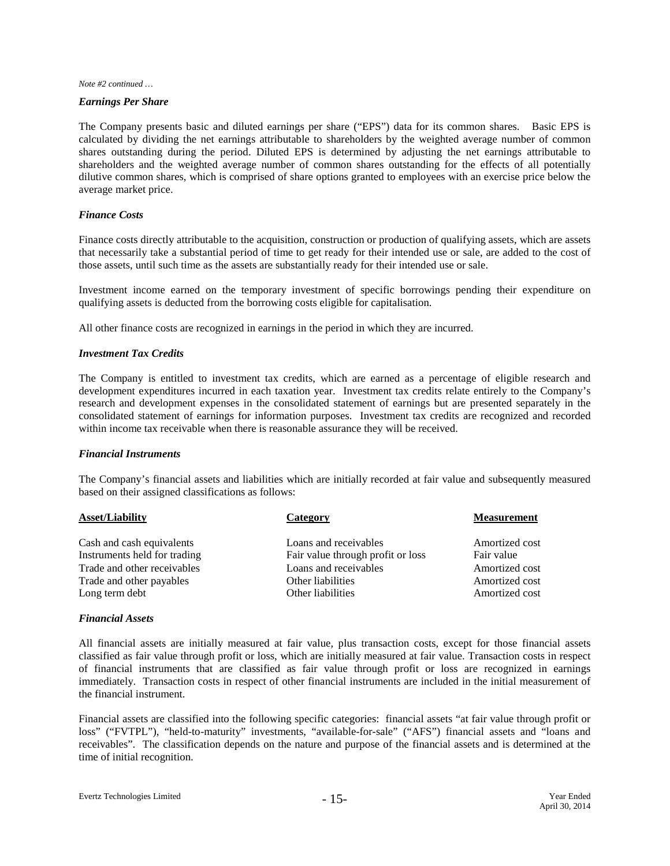#### *Earnings Per Share*

The Company presents basic and diluted earnings per share ("EPS") data for its common shares. Basic EPS is calculated by dividing the net earnings attributable to shareholders by the weighted average number of common shares outstanding during the period. Diluted EPS is determined by adjusting the net earnings attributable to shareholders and the weighted average number of common shares outstanding for the effects of all potentially dilutive common shares, which is comprised of share options granted to employees with an exercise price below the average market price.

#### *Finance Costs*

Finance costs directly attributable to the acquisition, construction or production of qualifying assets, which are assets that necessarily take a substantial period of time to get ready for their intended use or sale, are added to the cost of those assets, until such time as the assets are substantially ready for their intended use or sale.

Investment income earned on the temporary investment of specific borrowings pending their expenditure on qualifying assets is deducted from the borrowing costs eligible for capitalisation.

All other finance costs are recognized in earnings in the period in which they are incurred.

#### *Investment Tax Credits*

The Company is entitled to investment tax credits, which are earned as a percentage of eligible research and development expenditures incurred in each taxation year. Investment tax credits relate entirely to the Company's research and development expenses in the consolidated statement of earnings but are presented separately in the consolidated statement of earnings for information purposes. Investment tax credits are recognized and recorded within income tax receivable when there is reasonable assurance they will be received.

#### *Financial Instruments*

The Company's financial assets and liabilities which are initially recorded at fair value and subsequently measured based on their assigned classifications as follows:

| <b>Asset/Liability</b>       | Category                          | <b>Measurement</b> |
|------------------------------|-----------------------------------|--------------------|
| Cash and cash equivalents    | Loans and receivables             | Amortized cost     |
| Instruments held for trading | Fair value through profit or loss | Fair value         |
| Trade and other receivables  | Loans and receivables             | Amortized cost     |
| Trade and other payables     | Other liabilities                 | Amortized cost     |
| Long term debt               | Other liabilities                 | Amortized cost     |

#### *Financial Assets*

All financial assets are initially measured at fair value, plus transaction costs, except for those financial assets classified as fair value through profit or loss, which are initially measured at fair value. Transaction costs in respect of financial instruments that are classified as fair value through profit or loss are recognized in earnings immediately. Transaction costs in respect of other financial instruments are included in the initial measurement of the financial instrument.

Financial assets are classified into the following specific categories: financial assets "at fair value through profit or loss" ("FVTPL"), "held-to-maturity" investments, "available-for-sale" ("AFS") financial assets and "loans and receivables". The classification depends on the nature and purpose of the financial assets and is determined at the time of initial recognition.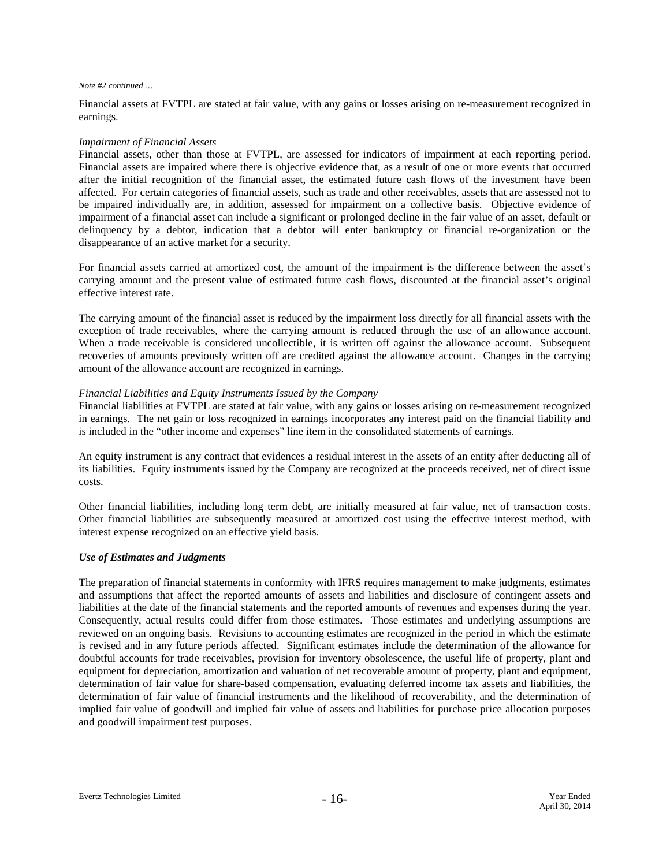Financial assets at FVTPL are stated at fair value, with any gains or losses arising on re-measurement recognized in earnings.

#### *Impairment of Financial Assets*

Financial assets, other than those at FVTPL, are assessed for indicators of impairment at each reporting period. Financial assets are impaired where there is objective evidence that, as a result of one or more events that occurred after the initial recognition of the financial asset, the estimated future cash flows of the investment have been affected. For certain categories of financial assets, such as trade and other receivables, assets that are assessed not to be impaired individually are, in addition, assessed for impairment on a collective basis. Objective evidence of impairment of a financial asset can include a significant or prolonged decline in the fair value of an asset, default or delinquency by a debtor, indication that a debtor will enter bankruptcy or financial re-organization or the disappearance of an active market for a security.

For financial assets carried at amortized cost, the amount of the impairment is the difference between the asset's carrying amount and the present value of estimated future cash flows, discounted at the financial asset's original effective interest rate.

The carrying amount of the financial asset is reduced by the impairment loss directly for all financial assets with the exception of trade receivables, where the carrying amount is reduced through the use of an allowance account. When a trade receivable is considered uncollectible, it is written off against the allowance account. Subsequent recoveries of amounts previously written off are credited against the allowance account. Changes in the carrying amount of the allowance account are recognized in earnings.

#### *Financial Liabilities and Equity Instruments Issued by the Company*

Financial liabilities at FVTPL are stated at fair value, with any gains or losses arising on re-measurement recognized in earnings. The net gain or loss recognized in earnings incorporates any interest paid on the financial liability and is included in the "other income and expenses" line item in the consolidated statements of earnings.

An equity instrument is any contract that evidences a residual interest in the assets of an entity after deducting all of its liabilities. Equity instruments issued by the Company are recognized at the proceeds received, net of direct issue costs.

Other financial liabilities, including long term debt, are initially measured at fair value, net of transaction costs. Other financial liabilities are subsequently measured at amortized cost using the effective interest method, with interest expense recognized on an effective yield basis.

#### *Use of Estimates and Judgments*

The preparation of financial statements in conformity with IFRS requires management to make judgments, estimates and assumptions that affect the reported amounts of assets and liabilities and disclosure of contingent assets and liabilities at the date of the financial statements and the reported amounts of revenues and expenses during the year. Consequently, actual results could differ from those estimates. Those estimates and underlying assumptions are reviewed on an ongoing basis. Revisions to accounting estimates are recognized in the period in which the estimate is revised and in any future periods affected. Significant estimates include the determination of the allowance for doubtful accounts for trade receivables, provision for inventory obsolescence, the useful life of property, plant and equipment for depreciation, amortization and valuation of net recoverable amount of property, plant and equipment, determination of fair value for share-based compensation, evaluating deferred income tax assets and liabilities, the determination of fair value of financial instruments and the likelihood of recoverability, and the determination of implied fair value of goodwill and implied fair value of assets and liabilities for purchase price allocation purposes and goodwill impairment test purposes.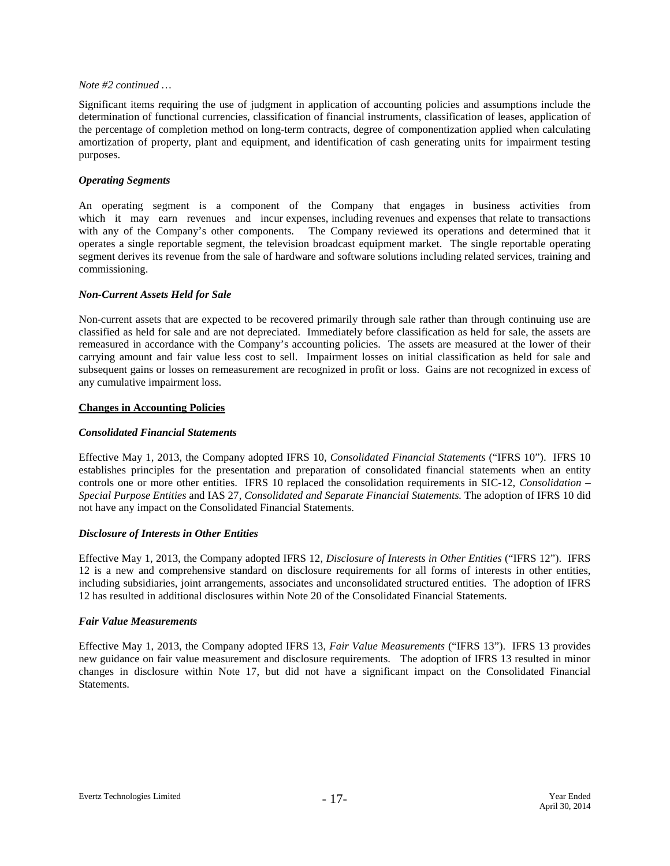Significant items requiring the use of judgment in application of accounting policies and assumptions include the determination of functional currencies, classification of financial instruments, classification of leases, application of the percentage of completion method on long-term contracts, degree of componentization applied when calculating amortization of property, plant and equipment, and identification of cash generating units for impairment testing purposes.

#### *Operating Segments*

An operating segment is a component of the Company that engages in business activities from which it may earn revenues and incur expenses, including revenues and expenses that relate to transactions with any of the Company's other components. The Company reviewed its operations and determined that it operates a single reportable segment, the television broadcast equipment market. The single reportable operating segment derives its revenue from the sale of hardware and software solutions including related services, training and commissioning.

#### *Non-Current Assets Held for Sale*

Non-current assets that are expected to be recovered primarily through sale rather than through continuing use are classified as held for sale and are not depreciated. Immediately before classification as held for sale, the assets are remeasured in accordance with the Company's accounting policies. The assets are measured at the lower of their carrying amount and fair value less cost to sell. Impairment losses on initial classification as held for sale and subsequent gains or losses on remeasurement are recognized in profit or loss. Gains are not recognized in excess of any cumulative impairment loss.

#### **Changes in Accounting Policies**

#### *Consolidated Financial Statements*

Effective May 1, 2013, the Company adopted IFRS 10, *Consolidated Financial Statements* ("IFRS 10"). IFRS 10 establishes principles for the presentation and preparation of consolidated financial statements when an entity controls one or more other entities. IFRS 10 replaced the consolidation requirements in SIC-12, *Consolidation – Special Purpose Entities* and IAS 27, *Consolidated and Separate Financial Statements.* The adoption of IFRS 10 did not have any impact on the Consolidated Financial Statements.

#### *Disclosure of Interests in Other Entities*

Effective May 1, 2013, the Company adopted IFRS 12, *Disclosure of Interests in Other Entities* ("IFRS 12"). IFRS 12 is a new and comprehensive standard on disclosure requirements for all forms of interests in other entities, including subsidiaries, joint arrangements, associates and unconsolidated structured entities. The adoption of IFRS 12 has resulted in additional disclosures within Note 20 of the Consolidated Financial Statements.

#### *Fair Value Measurements*

Effective May 1, 2013, the Company adopted IFRS 13, *Fair Value Measurements* ("IFRS 13"). IFRS 13 provides new guidance on fair value measurement and disclosure requirements. The adoption of IFRS 13 resulted in minor changes in disclosure within Note 17, but did not have a significant impact on the Consolidated Financial **Statements**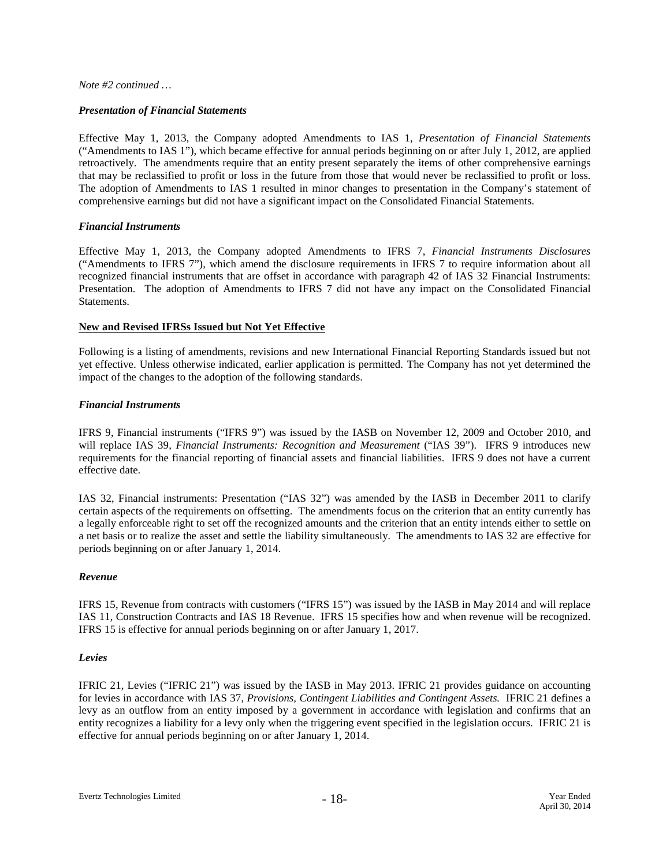#### *Presentation of Financial Statements*

Effective May 1, 2013, the Company adopted Amendments to IAS 1, *Presentation of Financial Statements*  ("Amendments to IAS 1"), which became effective for annual periods beginning on or after July 1, 2012, are applied retroactively. The amendments require that an entity present separately the items of other comprehensive earnings that may be reclassified to profit or loss in the future from those that would never be reclassified to profit or loss. The adoption of Amendments to IAS 1 resulted in minor changes to presentation in the Company's statement of comprehensive earnings but did not have a significant impact on the Consolidated Financial Statements.

#### *Financial Instruments*

Effective May 1, 2013, the Company adopted Amendments to IFRS 7, *Financial Instruments Disclosures* ("Amendments to IFRS 7"), which amend the disclosure requirements in IFRS 7 to require information about all recognized financial instruments that are offset in accordance with paragraph 42 of IAS 32 Financial Instruments: Presentation. The adoption of Amendments to IFRS 7 did not have any impact on the Consolidated Financial Statements.

#### **New and Revised IFRSs Issued but Not Yet Effective**

Following is a listing of amendments, revisions and new International Financial Reporting Standards issued but not yet effective. Unless otherwise indicated, earlier application is permitted. The Company has not yet determined the impact of the changes to the adoption of the following standards.

#### *Financial Instruments*

IFRS 9, Financial instruments ("IFRS 9") was issued by the IASB on November 12, 2009 and October 2010, and will replace IAS 39, *Financial Instruments: Recognition and Measurement* ("IAS 39"). IFRS 9 introduces new requirements for the financial reporting of financial assets and financial liabilities. IFRS 9 does not have a current effective date.

IAS 32, Financial instruments: Presentation ("IAS 32") was amended by the IASB in December 2011 to clarify certain aspects of the requirements on offsetting. The amendments focus on the criterion that an entity currently has a legally enforceable right to set off the recognized amounts and the criterion that an entity intends either to settle on a net basis or to realize the asset and settle the liability simultaneously. The amendments to IAS 32 are effective for periods beginning on or after January 1, 2014.

#### *Revenue*

IFRS 15, Revenue from contracts with customers ("IFRS 15") was issued by the IASB in May 2014 and will replace IAS 11, Construction Contracts and IAS 18 Revenue. IFRS 15 specifies how and when revenue will be recognized. IFRS 15 is effective for annual periods beginning on or after January 1, 2017.

#### *Levies*

IFRIC 21, Levies ("IFRIC 21") was issued by the IASB in May 2013. IFRIC 21 provides guidance on accounting for levies in accordance with IAS 37, *Provisions, Contingent Liabilities and Contingent Assets.* IFRIC 21 defines a levy as an outflow from an entity imposed by a government in accordance with legislation and confirms that an entity recognizes a liability for a levy only when the triggering event specified in the legislation occurs. IFRIC 21 is effective for annual periods beginning on or after January 1, 2014.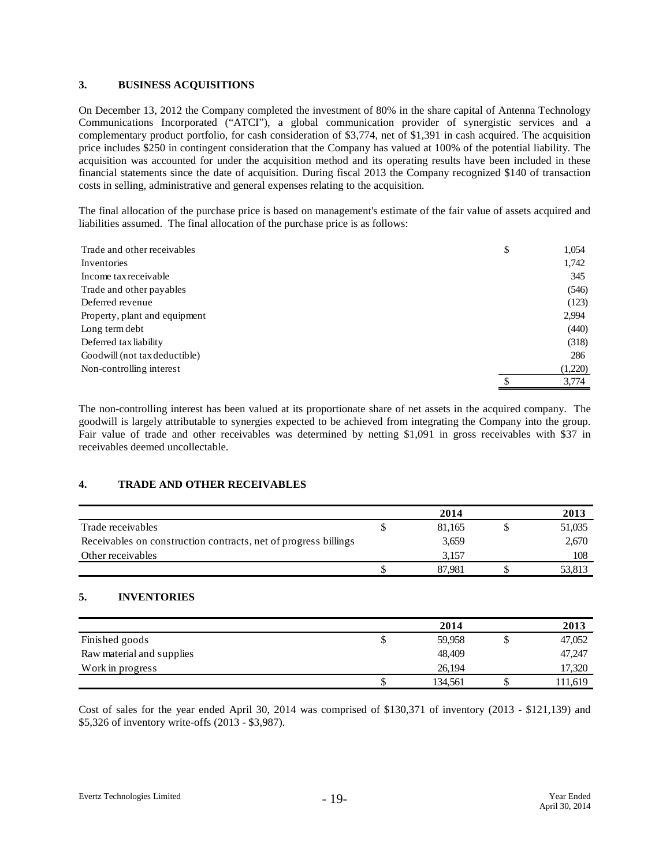#### **3. BUSINESS ACQUISITIONS**

On December 13, 2012 the Company completed the investment of 80% in the share capital of Antenna Technology Communications Incorporated ("ATCI"), a global communication provider of synergistic services and a complementary product portfolio, for cash consideration of \$3,774, net of \$1,391 in cash acquired. The acquisition price includes \$250 in contingent consideration that the Company has valued at 100% of the potential liability. The acquisition was accounted for under the acquisition method and its operating results have been included in these financial statements since the date of acquisition. During fiscal 2013 the Company recognized \$140 of transaction costs in selling, administrative and general expenses relating to the acquisition.

The final allocation of the purchase price is based on management's estimate of the fair value of assets acquired and liabilities assumed. The final allocation of the purchase price is as follows:

| Trade and other receivables   | \$<br>1,054 |
|-------------------------------|-------------|
| Inventories                   | 1,742       |
| Income tax receivable         | 345         |
| Trade and other payables      | (546)       |
| Deferred revenue              | (123)       |
| Property, plant and equipment | 2,994       |
| Long term debt                | (440)       |
| Deferred tax liability        | (318)       |
| Goodwill (not tax deductible) | 286         |
| Non-controlling interest      | (1,220)     |
|                               | 3.774       |

The non-controlling interest has been valued at its proportionate share of net assets in the acquired company. The goodwill is largely attributable to synergies expected to be achieved from integrating the Company into the group. Fair value of trade and other receivables was determined by netting \$1,091 in gross receivables with \$37 in receivables deemed uncollectable.

#### **4. TRADE AND OTHER RECEIVABLES**

|                                                                 |    | 2014   | 2013   |
|-----------------------------------------------------------------|----|--------|--------|
| Trade receivables                                               | ιD | 81.165 | 51,035 |
| Receivables on construction contracts, net of progress billings |    | 3,659  | 2,670  |
| Other receivables                                               |    | 3.157  | 108    |
|                                                                 | J) | 87.981 | 53,813 |

#### **5. INVENTORIES**

|                           |   | 2014    | 2013   |
|---------------------------|---|---------|--------|
| Finished goods            | J | 59,958  | 47,052 |
| Raw material and supplies |   | 48,409  | 47,247 |
| Work in progress          |   | 26.194  | 17,320 |
|                           |   | 134,561 | 11,619 |

Cost of sales for the year ended April 30, 2014 was comprised of \$130,371 of inventory (2013 - \$121,139) and \$5,326 of inventory write-offs (2013 - \$3,987).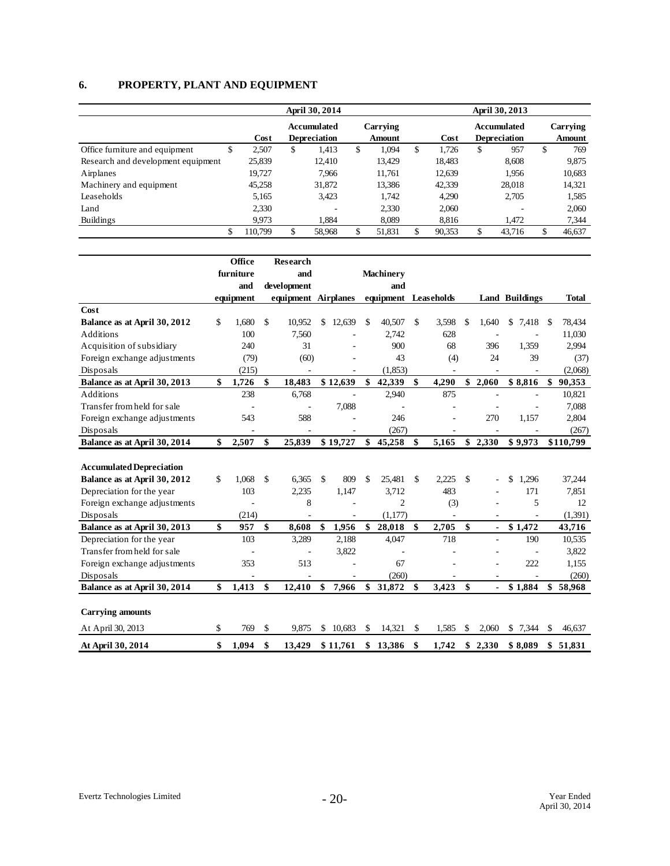#### **6. PROPERTY, PLANT AND EQUIPMENT**

|                                    | April 30, 2014 |                    |        |                     |        |                    | April 30, 2013 |    |        |                                    |        |  |                    |
|------------------------------------|----------------|--------------------|--------|---------------------|--------|--------------------|----------------|----|--------|------------------------------------|--------|--|--------------------|
|                                    | Cost           | <b>Accumulated</b> |        | <b>Depreciation</b> |        | Carrying<br>Amount |                |    | Cost   | Accumulated<br><b>Depreciation</b> |        |  | Carrying<br>Amount |
| Office furniture and equipment     | \$<br>2,507    | \$                 | 1.413  | \$                  | 1.094  | S                  | 1.726          | \$ | 957    | \$                                 | 769    |  |                    |
| Research and development equipment | 25,839         |                    | 12.410 |                     | 13,429 |                    | 18,483         |    | 8,608  |                                    | 9,875  |  |                    |
| Airplanes                          | 19.727         |                    | 7.966  |                     | 11,761 |                    | 12,639         |    | 1.956  |                                    | 10,683 |  |                    |
| Machinery and equipment            | 45,258         |                    | 31,872 |                     | 13,386 |                    | 42,339         |    | 28.018 |                                    | 14,321 |  |                    |
| Leaseholds                         | 5,165          |                    | 3,423  |                     | 1.742  |                    | 4.290          |    | 2.705  |                                    | 1,585  |  |                    |
| Land                               | 2,330          |                    | ۰      |                     | 2,330  |                    | 2,060          |    |        |                                    | 2,060  |  |                    |
| <b>Buildings</b>                   | 9.973          |                    | 1.884  |                     | 8.089  |                    | 8.816          |    | 1,472  |                                    | 7,344  |  |                    |
|                                    | \$<br>10.799   |                    | 58,968 |                     | 51,831 |                    | 90,353         | \$ | 43.716 | \$                                 | 46,637 |  |                    |

|                                 | Office      | <b>Research</b>          |                          |              |                  |                      |                          |                       |    |              |
|---------------------------------|-------------|--------------------------|--------------------------|--------------|------------------|----------------------|--------------------------|-----------------------|----|--------------|
|                                 | furniture   | and                      |                          |              | <b>Machinery</b> |                      |                          |                       |    |              |
|                                 | and         | development              |                          |              | and              |                      |                          |                       |    |              |
|                                 | equipment   | equipment Airplanes      |                          |              |                  | equipment Leaseholds |                          | <b>Land Buildings</b> |    | <b>Total</b> |
| Cost                            |             |                          |                          |              |                  |                      |                          |                       |    |              |
| Balance as at April 30, 2012    | \$<br>1.680 | \$<br>10,952             | \$<br>12,639             | \$           | 40,507           | \$<br>3,598          | \$<br>1.640              | \$<br>7,418           | S  | 78,434       |
| <b>Additions</b>                | 100         | 7,560                    |                          |              | 2,742            | 628                  | $\sim$                   | ä,                    |    | 11,030       |
| Acquisition of subsidiary       | 240         | 31                       |                          |              | 900              | 68                   | 396                      | 1,359                 |    | 2,994        |
| Foreign exchange adjustments    | (79)        | (60)                     |                          |              | 43               | (4)                  | 24                       | 39                    |    | (37)         |
| Disposals                       | (215)       |                          |                          |              | (1, 853)         | ÷                    |                          |                       |    | (2,068)      |
| Balance as at April 30, 2013    | \$<br>1,726 | \$<br>18,483             | \$12,639                 | \$           | 42,339           | \$<br>4,290          | \$<br>2,060              | \$8,816               | \$ | 90,353       |
| <b>Additions</b>                | 238         | 6,768                    |                          |              | 2,940            | 875                  |                          |                       |    | 10,821       |
| Transfer from held for sale     | ä,          | $\overline{\phantom{a}}$ | 7,088                    |              | L,               |                      |                          | $\overline{a}$        |    | 7,088        |
| Foreign exchange adjustments    | 543         | 588                      |                          |              | 246              |                      | 270                      | 1,157                 |    | 2,804        |
| Disposals                       | ÷           |                          |                          |              | (267)            |                      |                          |                       |    | (267)        |
| Balance as at April 30, 2014    | \$<br>2,507 | \$<br>25,839             | \$19,727                 | \$           | 45,258           | \$<br>5,165          | \$<br>2,330              | \$9,973               |    | \$110,799    |
|                                 |             |                          |                          |              |                  |                      |                          |                       |    |              |
| <b>Accumulated Depreciation</b> |             |                          |                          |              |                  |                      |                          |                       |    |              |
| Balance as at April 30, 2012    | \$<br>1,068 | \$<br>6,365              | \$<br>809                | \$.          | 25,481           | \$<br>2.225          | \$                       | \$<br>1,296           |    | 37,244       |
| Depreciation for the year       | 103         | 2,235                    | 1,147                    |              | 3,712            | 483                  |                          | 171                   |    | 7,851        |
| Foreign exchange adjustments    |             | 8                        |                          |              | $\overline{c}$   | (3)                  |                          | 5                     |    | 12           |
| Disposals                       | (214)       |                          | $\overline{\phantom{a}}$ |              | (1,177)          | ÷                    |                          |                       |    | (1,391)      |
| Balance as at April 30, 2013    | \$<br>957   | \$<br>8,608              | \$<br>1,956              | $\mathbf{s}$ | 28,018           | \$<br>2,705          | \$                       | \$1,472               |    | 43,716       |
| Depreciation for the year       | 103         | 3,289                    | 2,188                    |              | 4,047            | 718                  | $\overline{\phantom{a}}$ | 190                   |    | 10,535       |
| Transfer from held for sale     |             | L.                       | 3,822                    |              | ÷,               |                      |                          | ÷,                    |    | 3,822        |
| Foreign exchange adjustments    | 353         | 513                      |                          |              | 67               |                      |                          | 222                   |    | 1,155        |
| Disposals                       |             |                          |                          |              | (260)            |                      |                          |                       |    | (260)        |
| Balance as at April 30, 2014    | \$<br>1,413 | \$<br>12,410             | \$<br>7,966              | \$           | 31,872           | \$<br>3,423          | \$<br>$\blacksquare$     | \$1,884               | \$ | 58,968       |
|                                 |             |                          |                          |              |                  |                      |                          |                       |    |              |
| <b>Carrying amounts</b>         |             |                          |                          |              |                  |                      |                          |                       |    |              |
| At April 30, 2013               | \$<br>769   | \$<br>9,875              | \$<br>10,683             | \$           | 14,321           | \$<br>1,585          | \$<br>2,060              | \$7,344               | \$ | 46,637       |
| At April 30, 2014               | \$<br>1,094 | \$<br>13,429             | \$11,761                 |              | \$13,386         | \$<br>1,742          | \$2,330                  | \$8,089               |    | \$51,831     |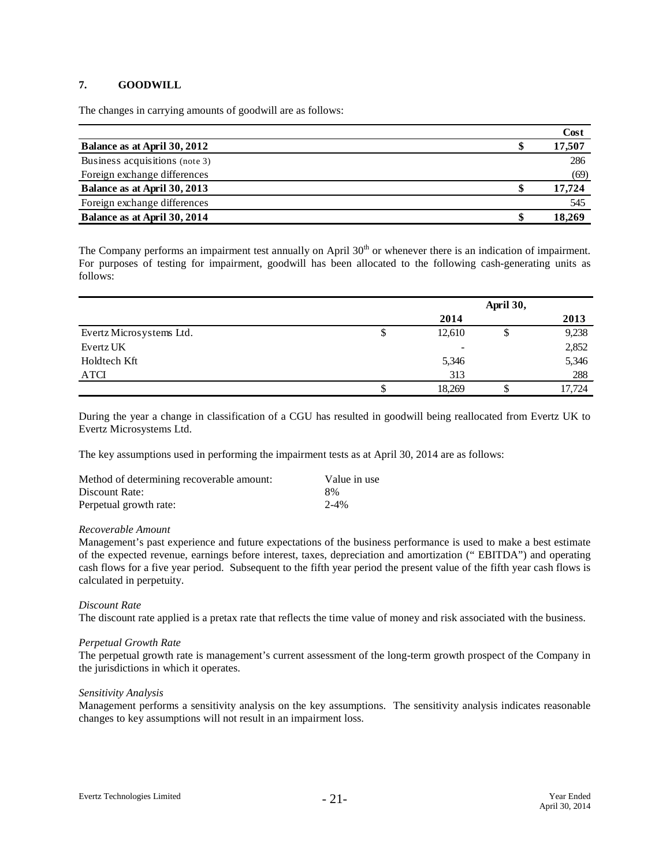#### **7. GOODWILL**

The changes in carrying amounts of goodwill are as follows:

|                                |    | Cost   |
|--------------------------------|----|--------|
| Balance as at April 30, 2012   |    | 17,507 |
| Business acquisitions (note 3) |    | 286    |
| Foreign exchange differences   |    | (69)   |
| Balance as at April 30, 2013   | S  | 17.724 |
| Foreign exchange differences   |    | 545    |
| Balance as at April 30, 2014   | \$ | 18,269 |

The Company performs an impairment test annually on April  $30<sup>th</sup>$  or whenever there is an indication of impairment. For purposes of testing for impairment, goodwill has been allocated to the following cash-generating units as follows:

|                          |    | April 30,                |   |        |
|--------------------------|----|--------------------------|---|--------|
|                          |    | 2014                     |   | 2013   |
| Evertz Microsystems Ltd. | \$ | 12,610                   | Φ | 9,238  |
| Evertz UK                |    | $\overline{\phantom{a}}$ |   | 2,852  |
| Holdtech Kft             |    | 5,346                    |   | 5,346  |
| ATCI                     |    | 313                      |   | 288    |
|                          | Φ  | 18,269                   | ◡ | 17,724 |

During the year a change in classification of a CGU has resulted in goodwill being reallocated from Evertz UK to Evertz Microsystems Ltd.

The key assumptions used in performing the impairment tests as at April 30, 2014 are as follows:

| Method of determining recoverable amount: | Value in use |
|-------------------------------------------|--------------|
| Discount Rate:                            | 8%           |
| Perpetual growth rate:                    | $2 - 4\%$    |

#### *Recoverable Amount*

Management's past experience and future expectations of the business performance is used to make a best estimate of the expected revenue, earnings before interest, taxes, depreciation and amortization (" EBITDA") and operating cash flows for a five year period. Subsequent to the fifth year period the present value of the fifth year cash flows is calculated in perpetuity.

#### *Discount Rate*

The discount rate applied is a pretax rate that reflects the time value of money and risk associated with the business.

#### *Perpetual Growth Rate*

The perpetual growth rate is management's current assessment of the long-term growth prospect of the Company in the jurisdictions in which it operates.

#### *Sensitivity Analysis*

Management performs a sensitivity analysis on the key assumptions. The sensitivity analysis indicates reasonable changes to key assumptions will not result in an impairment loss.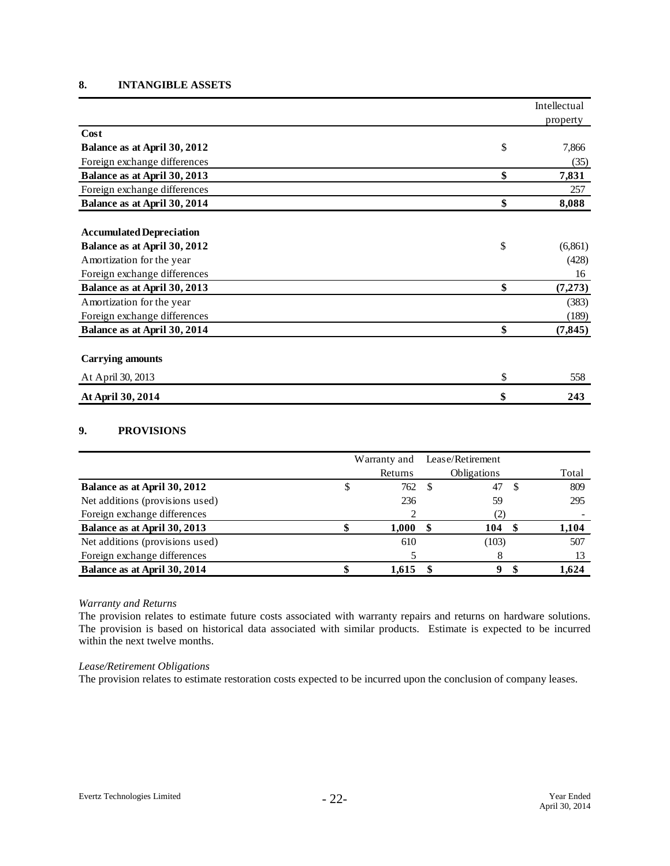#### **8. INTANGIBLE ASSETS**

|                                 | Intellectual   |
|---------------------------------|----------------|
|                                 | property       |
| Cost                            |                |
| Balance as at April 30, 2012    | \$<br>7,866    |
| Foreign exchange differences    | (35)           |
| Balance as at April 30, 2013    | \$<br>7,831    |
| Foreign exchange differences    | 257            |
| Balance as at April 30, 2014    | \$<br>8,088    |
|                                 |                |
| <b>Accumulated Depreciation</b> |                |
| Balance as at April 30, 2012    | \$<br>(6, 861) |
| Amortization for the year       | (428)          |
| Foreign exchange differences    | 16             |
| Balance as at April 30, 2013    | \$<br>(7,273)  |
| Amortization for the year       | (383)          |
| Foreign exchange differences    | (189)          |
| Balance as at April 30, 2014    | \$<br>(7, 845) |
| <b>Carrying amounts</b>         |                |
|                                 |                |
| At April 30, 2013               | \$<br>558      |
| At April 30, 2014               | \$<br>243      |

#### **9. PROVISIONS**

|                                 | Lease/Retirement<br>Warranty and |         |                    |       |
|---------------------------------|----------------------------------|---------|--------------------|-------|
|                                 |                                  | Returns | <b>Obligations</b> | Total |
| Balance as at April 30, 2012    |                                  | 762     | 47                 | 809   |
| Net additions (provisions used) |                                  | 236     | 59                 | 295   |
| Foreign exchange differences    |                                  | 2       | (2)                |       |
| Balance as at April 30, 2013    |                                  | 1.000   | 104                | 1,104 |
| Net additions (provisions used) |                                  | 610     | (103)              | 507   |
| Foreign exchange differences    |                                  |         |                    |       |
| Balance as at April 30, 2014    |                                  | 1.615   | Q                  | 1.624 |

#### *Warranty and Returns*

The provision relates to estimate future costs associated with warranty repairs and returns on hardware solutions. The provision is based on historical data associated with similar products. Estimate is expected to be incurred within the next twelve months.

#### *Lease/Retirement Obligations*

The provision relates to estimate restoration costs expected to be incurred upon the conclusion of company leases.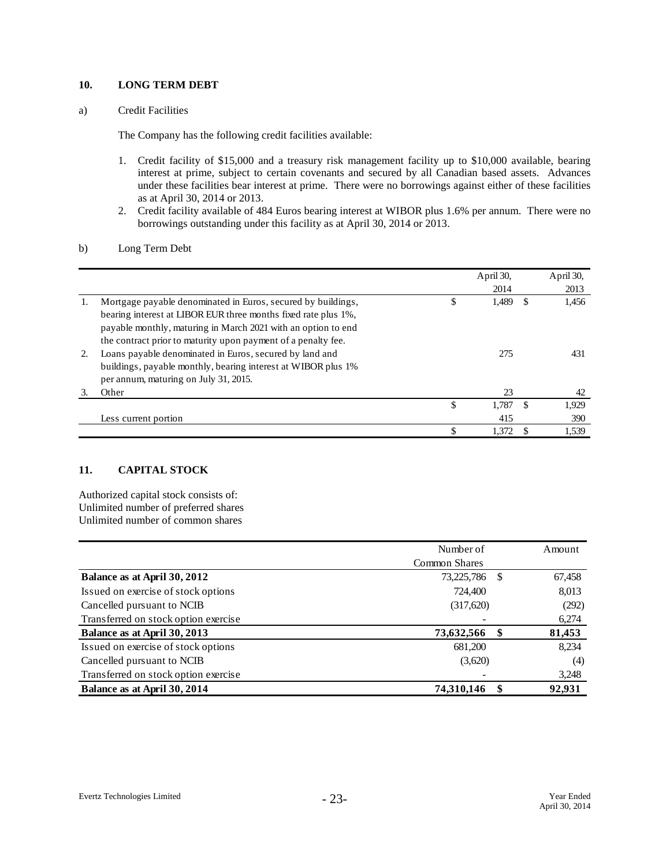#### **10. LONG TERM DEBT**

#### a) Credit Facilities

The Company has the following credit facilities available:

- 1. Credit facility of \$15,000 and a treasury risk management facility up to \$10,000 available, bearing interest at prime, subject to certain covenants and secured by all Canadian based assets. Advances under these facilities bear interest at prime. There were no borrowings against either of these facilities as at April 30, 2014 or 2013.
- 2. Credit facility available of 484 Euros bearing interest at WIBOR plus 1.6% per annum. There were no borrowings outstanding under this facility as at April 30, 2014 or 2013.

#### b) Long Term Debt

|    |                                                                |     | April 30, |    | April 30, |
|----|----------------------------------------------------------------|-----|-----------|----|-----------|
|    |                                                                |     | 2014      |    | 2013      |
| 1. | Mortgage payable denominated in Euros, secured by buildings,   | S   | 1,489     | S. | 1,456     |
|    | bearing interest at LIBOR EUR three months fixed rate plus 1%, |     |           |    |           |
|    | payable monthly, maturing in March 2021 with an option to end  |     |           |    |           |
|    | the contract prior to maturity upon payment of a penalty fee.  |     |           |    |           |
| 2. | Loans payable denominated in Euros, secured by land and        |     | 275       |    | 431       |
|    | buildings, payable monthly, bearing interest at WIBOR plus 1%  |     |           |    |           |
|    | per annum, maturing on July 31, 2015.                          |     |           |    |           |
| 3. | Other                                                          |     | 23        |    | 42        |
|    |                                                                | \$  | 1.787     | S. | 1.929     |
|    | Less current portion                                           |     | 415       |    | 390       |
|    |                                                                | \$. | 1.372     |    | 1.539     |

#### **11. CAPITAL STOCK**

Authorized capital stock consists of: Unlimited number of preferred shares Unlimited number of common shares

|                                      | Number of            |      | Amount |
|--------------------------------------|----------------------|------|--------|
|                                      | <b>Common Shares</b> |      |        |
| Balance as at April 30, 2012         | 73,225,786           | - \$ | 67,458 |
| Issued on exercise of stock options  | 724,400              |      | 8,013  |
| Cancelled pursuant to NCIB           | (317,620)            |      | (292)  |
| Transferred on stock option exercise |                      |      | 6,274  |
| Balance as at April 30, 2013         | 73,632,566           | S    | 81,453 |
| Issued on exercise of stock options  | 681,200              |      | 8,234  |
| Cancelled pursuant to NCIB           | (3,620)              |      | (4)    |
| Transferred on stock option exercise |                      |      | 3,248  |
| Balance as at April 30, 2014         | 74,310,146           |      | 92,931 |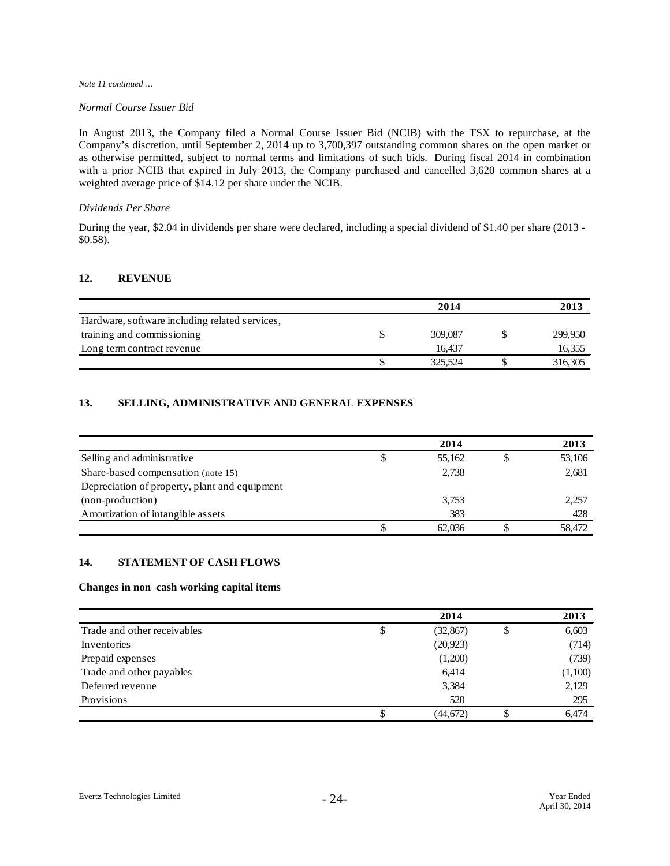#### *Note 11 continued …*

#### *Normal Course Issuer Bid*

In August 2013, the Company filed a Normal Course Issuer Bid (NCIB) with the TSX to repurchase, at the Company's discretion, until September 2, 2014 up to 3,700,397 outstanding common shares on the open market or as otherwise permitted, subject to normal terms and limitations of such bids. During fiscal 2014 in combination with a prior NCIB that expired in July 2013, the Company purchased and cancelled 3,620 common shares at a weighted average price of \$14.12 per share under the NCIB.

#### *Dividends Per Share*

During the year, \$2.04 in dividends per share were declared, including a special dividend of \$1.40 per share (2013 - \$0.58).

#### **12. REVENUE**

|                                                |   | 2014    | 2013    |
|------------------------------------------------|---|---------|---------|
| Hardware, software including related services, |   |         |         |
| training and commissioning                     |   | 309,087 | 299,950 |
| Long term contract revenue                     |   | 16.437  | 16,355  |
|                                                | S | 325,524 | 316,305 |

#### **13. SELLING, ADMINISTRATIVE AND GENERAL EXPENSES**

|                                               |   | 2014   | 2013   |
|-----------------------------------------------|---|--------|--------|
| Selling and administrative                    | J | 55,162 | 53,106 |
| Share-based compensation (note 15)            |   | 2,738  | 2,681  |
| Depreciation of property, plant and equipment |   |        |        |
| (non-production)                              |   | 3,753  | 2,257  |
| Amortization of intangible assets             |   | 383    | 428    |
|                                               |   | 62,036 | 58,472 |

#### **14. STATEMENT OF CASH FLOWS**

#### **Changes in non**–**cash working capital items**

|                             |    | 2014      |    | 2013    |
|-----------------------------|----|-----------|----|---------|
| Trade and other receivables | \$ | (32, 867) | \$ | 6,603   |
| Inventories                 |    | (20, 923) |    | (714)   |
| Prepaid expenses            |    | (1,200)   |    | (739)   |
| Trade and other payables    |    | 6,414     |    | (1,100) |
| Deferred revenue            |    | 3,384     |    | 2,129   |
| Provisions                  |    | 520       |    | 295     |
|                             | J  | (44, 672) | Φ  | 6.474   |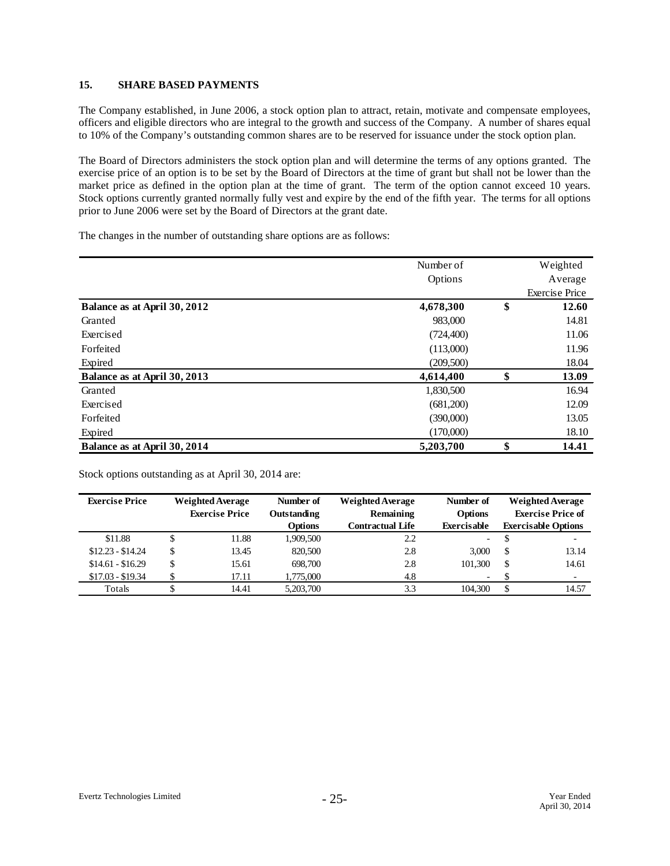#### **15. SHARE BASED PAYMENTS**

The Company established, in June 2006, a stock option plan to attract, retain, motivate and compensate employees, officers and eligible directors who are integral to the growth and success of the Company. A number of shares equal to 10% of the Company's outstanding common shares are to be reserved for issuance under the stock option plan.

The Board of Directors administers the stock option plan and will determine the terms of any options granted. The exercise price of an option is to be set by the Board of Directors at the time of grant but shall not be lower than the market price as defined in the option plan at the time of grant. The term of the option cannot exceed 10 years. Stock options currently granted normally fully vest and expire by the end of the fifth year. The terms for all options prior to June 2006 were set by the Board of Directors at the grant date.

The changes in the number of outstanding share options are as follows:

|                              | Number of  | Weighted              |
|------------------------------|------------|-----------------------|
|                              | Options    | Average               |
|                              |            | <b>Exercise Price</b> |
| Balance as at April 30, 2012 | 4,678,300  | \$<br>12.60           |
| Granted                      | 983,000    | 14.81                 |
| Exercised                    | (724, 400) | 11.06                 |
| Forfeited                    | (113,000)  | 11.96                 |
| Expired                      | (209, 500) | 18.04                 |
| Balance as at April 30, 2013 | 4,614,400  | \$<br>13.09           |
| Granted                      | 1,830,500  | 16.94                 |
| Exercised                    | (681,200)  | 12.09                 |
| Forfeited                    | (390,000)  | 13.05                 |
| Expired                      | (170,000)  | 18.10                 |
| Balance as at April 30, 2014 | 5,203,700  | \$<br>14.41           |

Stock options outstanding as at April 30, 2014 are:

| <b>Exercise Price</b> | <b>Weighted Average</b> |                       | Number of          | <b>Weighted Average</b> | Number of                | <b>Weighted Average</b>    |
|-----------------------|-------------------------|-----------------------|--------------------|-------------------------|--------------------------|----------------------------|
|                       |                         | <b>Exercise Price</b> | <b>Outstanding</b> | Remaining               | <b>Options</b>           | <b>Exercise Price of</b>   |
|                       |                         |                       | <b>Options</b>     | <b>Contractual Life</b> | Exercisable              | <b>Exercisable Options</b> |
| \$11.88               |                         | 11.88                 | 1.909.500          | 2.2                     | $\overline{\phantom{0}}$ |                            |
| $$12.23 - $14.24$     |                         | 13.45                 | 820,500            | 2.8                     | 3.000                    | \$<br>13.14                |
| $$14.61 - $16.29$     |                         | 15.61                 | 698,700            | 2.8                     | 101.300                  | \$<br>14.61                |
| $$17.03 - $19.34$     |                         | 17.11                 | 1,775,000          | 4.8                     | $\overline{\phantom{0}}$ |                            |
| Totals                |                         | 14.41                 | 5.203.700          | 3.3                     | 104.300                  | 14.57                      |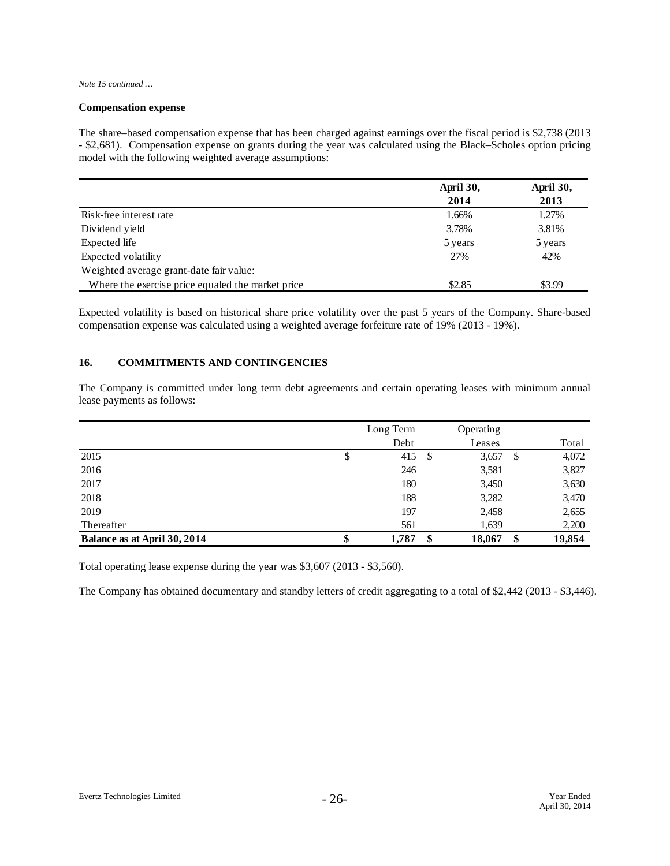*Note 15 continued …*

#### **Compensation expense**

The share–based compensation expense that has been charged against earnings over the fiscal period is \$2,738 (2013 - \$2,681). Compensation expense on grants during the year was calculated using the Black–Scholes option pricing model with the following weighted average assumptions:

|                                                   | April 30, | April 30, |
|---------------------------------------------------|-----------|-----------|
|                                                   | 2014      | 2013      |
| Risk-free interest rate                           | 1.66%     | 1.27%     |
| Dividend yield                                    | 3.78%     | 3.81%     |
| Expected life                                     | 5 years   | 5 years   |
| Expected volatility                               | 27%       | 42%       |
| Weighted average grant-date fair value:           |           |           |
| Where the exercise price equaled the market price | \$2.85    | \$3.99    |

Expected volatility is based on historical share price volatility over the past 5 years of the Company. Share-based compensation expense was calculated using a weighted average forfeiture rate of 19% (2013 - 19%).

#### **16. COMMITMENTS AND CONTINGENCIES**

The Company is committed under long term debt agreements and certain operating leases with minimum annual lease payments as follows:

|                              |                     | Long Term |    | Operating |     |        |
|------------------------------|---------------------|-----------|----|-----------|-----|--------|
|                              |                     | Debt      |    | Leases    |     | Total  |
| 2015                         | Φ<br>$\mathfrak{D}$ | 415       | S  | 3,657     | -\$ | 4,072  |
| 2016                         |                     | 246       |    | 3,581     |     | 3,827  |
| 2017                         |                     | 180       |    | 3,450     |     | 3,630  |
| 2018                         |                     | 188       |    | 3,282     |     | 3,470  |
| 2019                         |                     | 197       |    | 2,458     |     | 2,655  |
| Thereafter                   |                     | 561       |    | 1,639     |     | 2,200  |
| Balance as at April 30, 2014 | Φ                   | 1,787     | \$ | 18,067    | -\$ | 19,854 |

Total operating lease expense during the year was \$3,607 (2013 - \$3,560).

The Company has obtained documentary and standby letters of credit aggregating to a total of \$2,442 (2013 - \$3,446).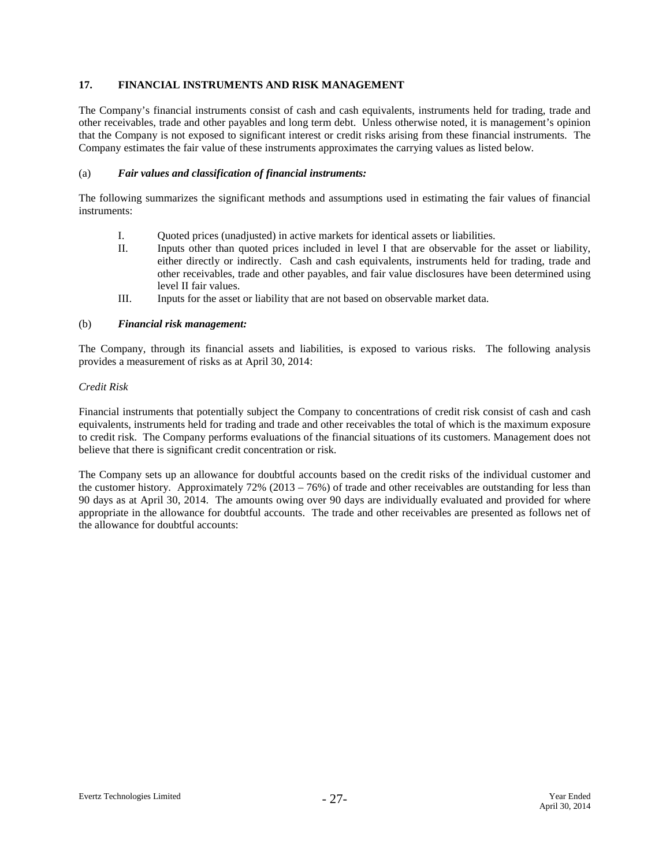#### **17. FINANCIAL INSTRUMENTS AND RISK MANAGEMENT**

The Company's financial instruments consist of cash and cash equivalents, instruments held for trading, trade and other receivables, trade and other payables and long term debt. Unless otherwise noted, it is management's opinion that the Company is not exposed to significant interest or credit risks arising from these financial instruments. The Company estimates the fair value of these instruments approximates the carrying values as listed below.

#### (a) *Fair values and classification of financial instruments:*

The following summarizes the significant methods and assumptions used in estimating the fair values of financial instruments:

- I. Quoted prices (unadjusted) in active markets for identical assets or liabilities.
- II. Inputs other than quoted prices included in level I that are observable for the asset or liability, either directly or indirectly. Cash and cash equivalents, instruments held for trading, trade and other receivables, trade and other payables, and fair value disclosures have been determined using level II fair values.
- III. Inputs for the asset or liability that are not based on observable market data.

#### (b) *Financial risk management:*

The Company, through its financial assets and liabilities, is exposed to various risks. The following analysis provides a measurement of risks as at April 30, 2014:

#### *Credit Risk*

Financial instruments that potentially subject the Company to concentrations of credit risk consist of cash and cash equivalents, instruments held for trading and trade and other receivables the total of which is the maximum exposure to credit risk. The Company performs evaluations of the financial situations of its customers. Management does not believe that there is significant credit concentration or risk.

The Company sets up an allowance for doubtful accounts based on the credit risks of the individual customer and the customer history. Approximately  $72\%$  (2013 – 76%) of trade and other receivables are outstanding for less than 90 days as at April 30, 2014. The amounts owing over 90 days are individually evaluated and provided for where appropriate in the allowance for doubtful accounts. The trade and other receivables are presented as follows net of the allowance for doubtful accounts: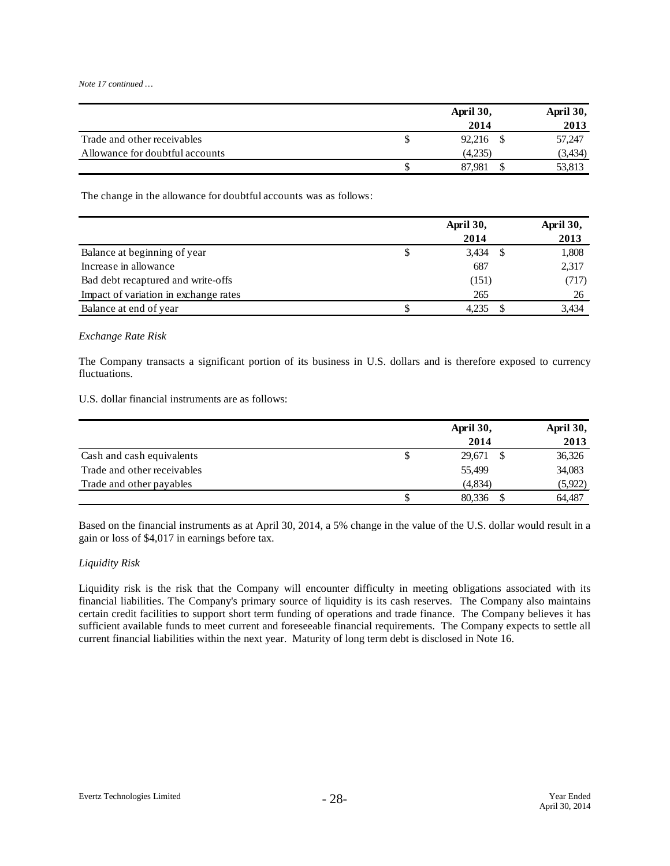*Note 17 continued …*

|                                 |              | April 30, |         |
|---------------------------------|--------------|-----------|---------|
|                                 | 2014         |           | 2013    |
| Trade and other receivables     | 92.216<br>۰D |           | 57,247  |
| Allowance for doubtful accounts | (4,235)      |           | (3,434) |
|                                 | 87.981       | œ         | 53,813  |

The change in the allowance for doubtful accounts was as follows:

|                                       | April 30, | April 30, |       |
|---------------------------------------|-----------|-----------|-------|
|                                       | 2014      |           | 2013  |
| Balance at beginning of year          | 3,434     |           | 1,808 |
| Increase in allowance                 | 687       |           | 2,317 |
| Bad debt recaptured and write-offs    | (151)     |           | (717) |
| Impact of variation in exchange rates | 265       |           | 26    |
| Balance at end of year                | 4,235     |           | 3,434 |

*Exchange Rate Risk*

The Company transacts a significant portion of its business in U.S. dollars and is therefore exposed to currency fluctuations.

U.S. dollar financial instruments are as follows:

|                             |   | April 30, |         |
|-----------------------------|---|-----------|---------|
|                             |   | 2014      | 2013    |
| Cash and cash equivalents   | S | 29.671    | 36,326  |
| Trade and other receivables |   | 55,499    | 34,083  |
| Trade and other payables    |   | (4,834)   | (5,922) |
|                             | S | 80,336    | 64.487  |

Based on the financial instruments as at April 30, 2014, a 5% change in the value of the U.S. dollar would result in a gain or loss of \$4,017 in earnings before tax.

#### *Liquidity Risk*

Liquidity risk is the risk that the Company will encounter difficulty in meeting obligations associated with its financial liabilities. The Company's primary source of liquidity is its cash reserves. The Company also maintains certain credit facilities to support short term funding of operations and trade finance. The Company believes it has sufficient available funds to meet current and foreseeable financial requirements. The Company expects to settle all current financial liabilities within the next year. Maturity of long term debt is disclosed in Note 16.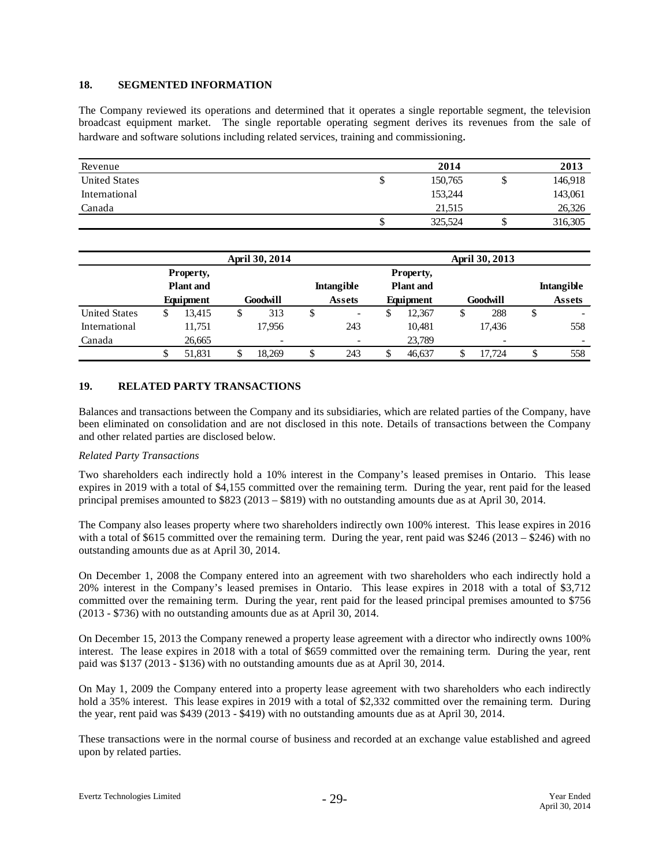#### **18. SEGMENTED INFORMATION**

The Company reviewed its operations and determined that it operates a single reportable segment, the television broadcast equipment market. The single reportable operating segment derives its revenues from the sale of hardware and software solutions including related services, training and commissioning.

| Revenue              |   | 2014    |   | 2013    |
|----------------------|---|---------|---|---------|
| <b>United States</b> | J | 150,765 | D | 146,918 |
| International        |   | 153,244 |   | 143,061 |
| Canada               |   | 21.515  |   | 26,326  |
|                      |   | 325,524 | ◡ | 316,305 |

|                      | April 30, 2014 |                                            |  |          |   |                                    | April 30, 2013 |                                            |    |          |    |                                    |
|----------------------|----------------|--------------------------------------------|--|----------|---|------------------------------------|----------------|--------------------------------------------|----|----------|----|------------------------------------|
|                      |                | Property,<br><b>Plant</b> and<br>Equipment |  | Goodwill |   | <b>Intangible</b><br><b>Assets</b> |                | Property,<br><b>Plant</b> and<br>Equipment |    | Goodwill |    | <b>Intangible</b><br><b>Assets</b> |
| <b>United States</b> |                | 13.415                                     |  | 313      | J | $\overline{\phantom{0}}$           |                | 12.367                                     | \$ | 288      | \$ | $\overline{\phantom{a}}$           |
| International        |                | 11,751                                     |  | 17.956   |   | 243                                |                | 10.481                                     |    | 17.436   |    | 558                                |
| Canada               |                | 26.665                                     |  | -        |   |                                    |                | 23,789                                     |    |          |    | $\overline{\phantom{0}}$           |
|                      |                | 51.831                                     |  | 18.269   | J | 243                                |                | 46.637                                     |    | 17.724   | \$ | 558                                |

#### **19. RELATED PARTY TRANSACTIONS**

Balances and transactions between the Company and its subsidiaries, which are related parties of the Company, have been eliminated on consolidation and are not disclosed in this note. Details of transactions between the Company and other related parties are disclosed below.

#### *Related Party Transactions*

Two shareholders each indirectly hold a 10% interest in the Company's leased premises in Ontario. This lease expires in 2019 with a total of \$4,155 committed over the remaining term. During the year, rent paid for the leased principal premises amounted to \$823 (2013 – \$819) with no outstanding amounts due as at April 30, 2014.

The Company also leases property where two shareholders indirectly own 100% interest. This lease expires in 2016 with a total of \$615 committed over the remaining term. During the year, rent paid was \$246 (2013 – \$246) with no outstanding amounts due as at April 30, 2014.

On December 1, 2008 the Company entered into an agreement with two shareholders who each indirectly hold a 20% interest in the Company's leased premises in Ontario. This lease expires in 2018 with a total of \$3,712 committed over the remaining term. During the year, rent paid for the leased principal premises amounted to \$756 (2013 - \$736) with no outstanding amounts due as at April 30, 2014.

On December 15, 2013 the Company renewed a property lease agreement with a director who indirectly owns 100% interest. The lease expires in 2018 with a total of \$659 committed over the remaining term. During the year, rent paid was \$137 (2013 - \$136) with no outstanding amounts due as at April 30, 2014.

On May 1, 2009 the Company entered into a property lease agreement with two shareholders who each indirectly hold a 35% interest. This lease expires in 2019 with a total of \$2,332 committed over the remaining term. During the year, rent paid was \$439 (2013 - \$419) with no outstanding amounts due as at April 30, 2014.

These transactions were in the normal course of business and recorded at an exchange value established and agreed upon by related parties.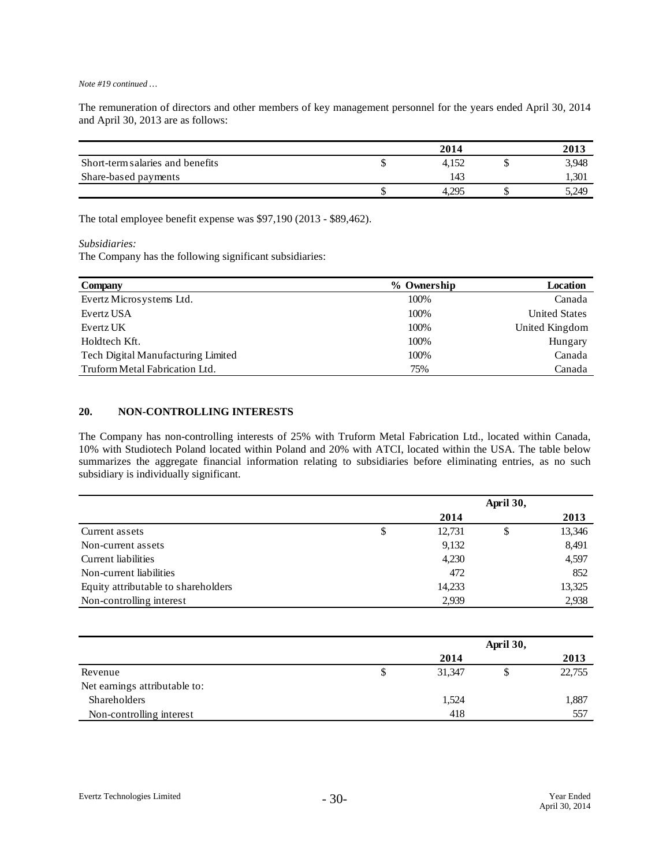The remuneration of directors and other members of key management personnel for the years ended April 30, 2014 and April 30, 2013 are as follows:

|                                  |  | 2013  |    |       |
|----------------------------------|--|-------|----|-------|
| Short-term salaries and benefits |  | 4.152 | ιD | 3,948 |
| Share-based payments             |  | 143   |    | 1,301 |
|                                  |  | 4.295 |    | 5,249 |

The total employee benefit expense was \$97,190 (2013 - \$89,462).

*Subsidiaries:*

The Company has the following significant subsidiaries:

| Company                            | % Ownership | Location             |
|------------------------------------|-------------|----------------------|
| Evertz Microsystems Ltd.           | 100%        | Canada               |
| Evertz USA                         | 100%        | <b>United States</b> |
| Evertz UK                          | 100%        | United Kingdom       |
| Holdtech Kft.                      | 100%        | Hungary              |
| Tech Digital Manufacturing Limited | 100%        | Canada               |
| Truform Metal Fabrication Ltd.     | 75%         | Canada               |

#### **20. NON-CONTROLLING INTERESTS**

The Company has non-controlling interests of 25% with Truform Metal Fabrication Ltd., located within Canada, 10% with Studiotech Poland located within Poland and 20% with ATCI, located within the USA. The table below summarizes the aggregate financial information relating to subsidiaries before eliminating entries, as no such subsidiary is individually significant.

|                                     |              | April 30, |        |
|-------------------------------------|--------------|-----------|--------|
|                                     | 2014         |           | 2013   |
| Current assets                      | \$<br>12,731 | \$        | 13,346 |
| Non-current assets                  | 9,132        |           | 8,491  |
| Current liabilities                 | 4,230        |           | 4,597  |
| Non-current liabilities             | 472          |           | 852    |
| Equity attributable to shareholders | 14,233       |           | 13,325 |
| Non-controlling interest            | 2.939        |           | 2,938  |

|                               |   | April 30, |  |        |  |  |
|-------------------------------|---|-----------|--|--------|--|--|
|                               |   | 2014      |  | 2013   |  |  |
| Revenue                       | S | 31,347    |  | 22,755 |  |  |
| Net earnings attributable to: |   |           |  |        |  |  |
| <b>Shareholders</b>           |   | 1,524     |  | 1,887  |  |  |
| Non-controlling interest      |   | 418       |  | 557    |  |  |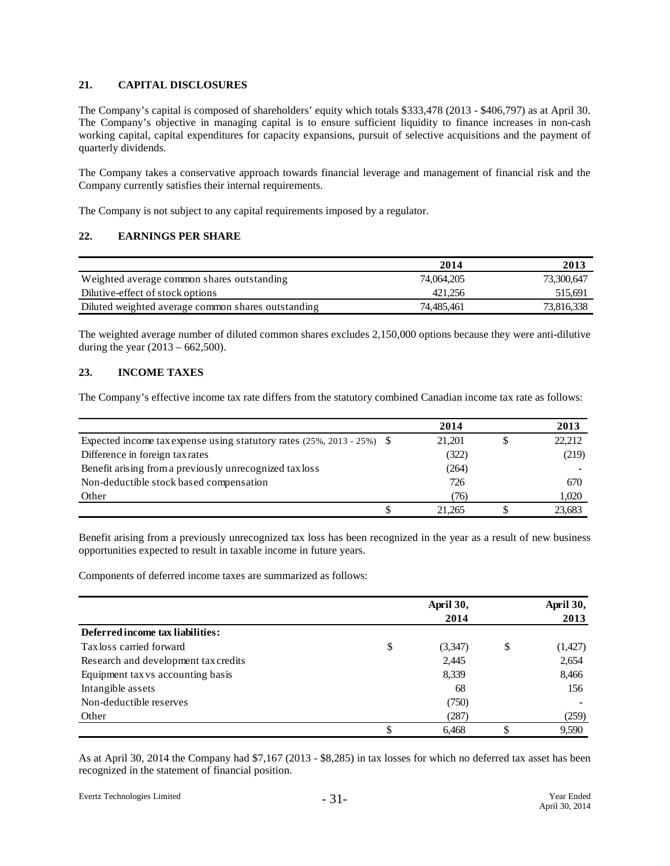#### **21. CAPITAL DISCLOSURES**

The Company's capital is composed of shareholders' equity which totals \$333,478 (2013 - \$406,797) as at April 30. The Company's objective in managing capital is to ensure sufficient liquidity to finance increases in non-cash working capital, capital expenditures for capacity expansions, pursuit of selective acquisitions and the payment of quarterly dividends.

The Company takes a conservative approach towards financial leverage and management of financial risk and the Company currently satisfies their internal requirements.

The Company is not subject to any capital requirements imposed by a regulator.

#### **22. EARNINGS PER SHARE**

|                                                    | 2014       | 2013       |
|----------------------------------------------------|------------|------------|
| Weighted average common shares outstanding         | 74,064,205 | 73,300,647 |
| Dilutive-effect of stock options                   | 421.256    | 515,691    |
| Diluted weighted average common shares outstanding | 74.485.461 | 73,816,338 |

The weighted average number of diluted common shares excludes 2,150,000 options because they were anti-dilutive during the year  $(2013 - 662,500)$ .

#### **23. INCOME TAXES**

The Company's effective income tax rate differs from the statutory combined Canadian income tax rate as follows:

|                                                                         | 2014   | 2013   |
|-------------------------------------------------------------------------|--------|--------|
| Expected income tax expense using statutory rates $(25\%, 2013 - 25\%)$ | 21,201 | 22,212 |
| Difference in foreign tax rates                                         | (322)  | (219)  |
| Benefit arising from a previously unrecognized tax loss                 | (264)  |        |
| Non-deductible stock based compensation                                 | 726    | 670    |
| Other                                                                   | (76)   | 1,020  |
|                                                                         | 21.265 | 23,683 |

Benefit arising from a previously unrecognized tax loss has been recognized in the year as a result of new business opportunities expected to result in taxable income in future years.

Components of deferred income taxes are summarized as follows:

|                                      | April 30,<br>2014 | April 30,<br>2013 |
|--------------------------------------|-------------------|-------------------|
| Deferred income tax liabilities:     |                   |                   |
| Tax loss carried forward             | \$<br>(3,347)     | \$<br>(1,427)     |
| Research and development tax credits | 2,445             | 2,654             |
| Equipment tax vs accounting basis    | 8,339             | 8,466             |
| Intangible assets                    | 68                | 156               |
| Non-deductible reserves              | (750)             |                   |
| Other                                | (287)             | (259)             |
|                                      | 6,468             | 9,590             |

As at April 30, 2014 the Company had \$7,167 (2013 - \$8,285) in tax losses for which no deferred tax asset has been recognized in the statement of financial position.